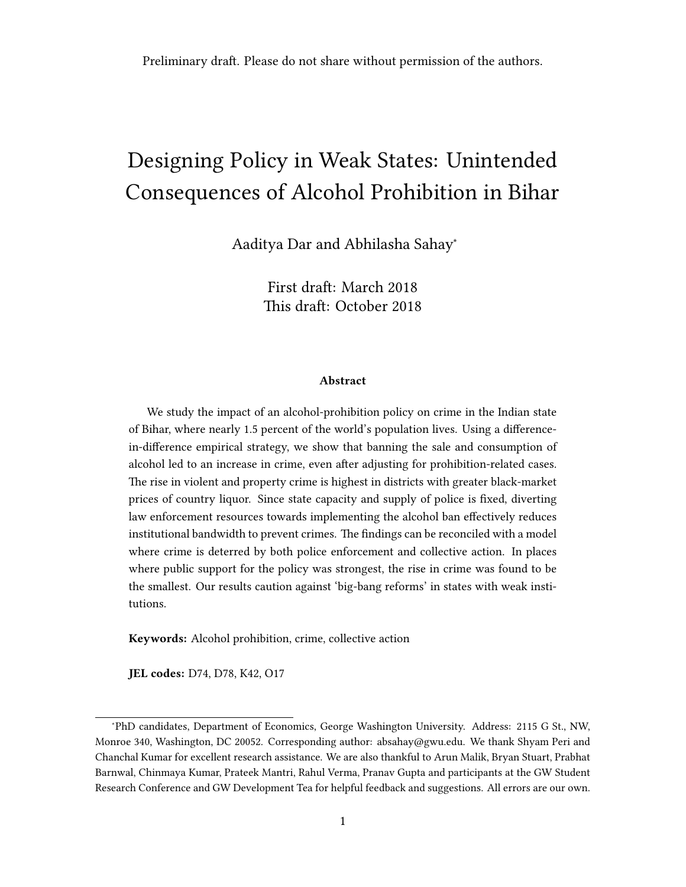# Designing Policy in Weak States: Unintended Consequences of Alcohol Prohibition in Bihar

[Aaditya Dar](http://www.aadityadar.com) and Abhilasha Sahay<sup>∗</sup>

First draft: March 2018 This draft: October 2018

#### Abstract

We study the impact of an alcohol-prohibition policy on crime in the Indian state of Bihar, where nearly 1.5 percent of the world's population lives. Using a differencein-difference empirical strategy, we show that banning the sale and consumption of alcohol led to an increase in crime, even after adjusting for prohibition-related cases. The rise in violent and property crime is highest in districts with greater black-market prices of country liquor. Since state capacity and supply of police is fixed, diverting law enforcement resources towards implementing the alcohol ban effectively reduces institutional bandwidth to prevent crimes. The findings can be reconciled with a model where crime is deterred by both police enforcement and collective action. In places where public support for the policy was strongest, the rise in crime was found to be the smallest. Our results caution against 'big-bang reforms' in states with weak institutions.

Keywords: Alcohol prohibition, crime, collective action

JEL codes: D74, D78, K42, O17

<sup>∗</sup>PhD candidates, Department of Economics, George Washington University. Address: 2115 G St., NW, Monroe 340, Washington, DC 20052. Corresponding author: absahay@gwu.edu. We thank Shyam Peri and Chanchal Kumar for excellent research assistance. We are also thankful to Arun Malik, Bryan Stuart, Prabhat Barnwal, Chinmaya Kumar, Prateek Mantri, Rahul Verma, Pranav Gupta and participants at the GW Student Research Conference and GW Development Tea for helpful feedback and suggestions. All errors are our own.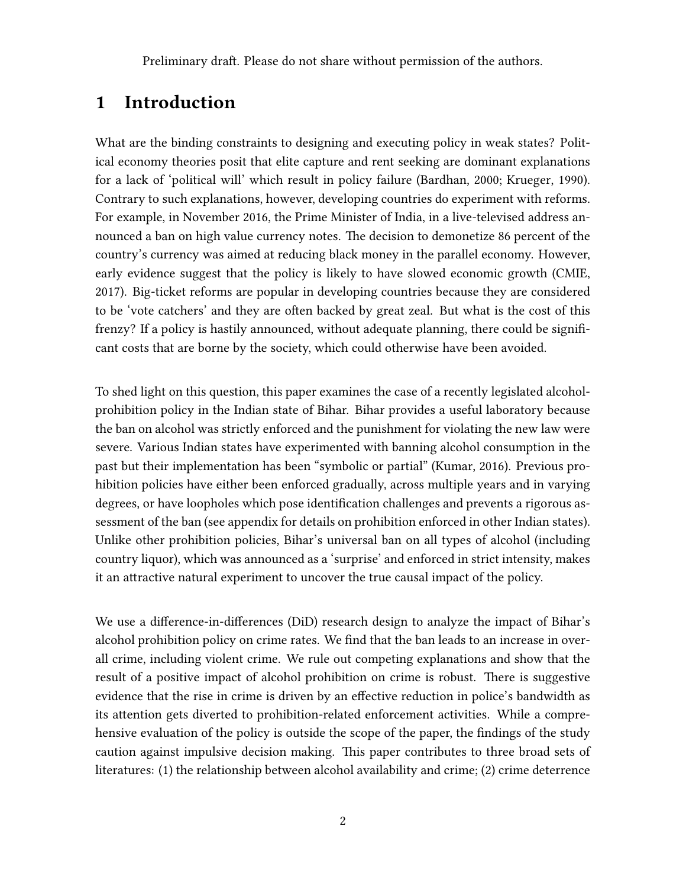### 1 Introduction

What are the binding constraints to designing and executing policy in weak states? Political economy theories posit that elite capture and rent seeking are dominant explanations for a lack of 'political will' which result in policy failure [\(Bardhan,](#page-18-0) [2000;](#page-18-0) [Krueger,](#page-20-0) [1990\)](#page-20-0). Contrary to such explanations, however, developing countries do experiment with reforms. For example, in November 2016, the Prime Minister of India, in a live-televised address announced a ban on high value currency notes. The decision to demonetize 86 percent of the country's currency was aimed at reducing black money in the parallel economy. However, early evidence suggest that the policy is likely to have slowed economic growth (CMIE, 2017). Big-ticket reforms are popular in developing countries because they are considered to be 'vote catchers' and they are often backed by great zeal. But what is the cost of this frenzy? If a policy is hastily announced, without adequate planning, there could be significant costs that are borne by the society, which could otherwise have been avoided.

To shed light on this question, this paper examines the case of a recently legislated alcoholprohibition policy in the Indian state of Bihar. Bihar provides a useful laboratory because the ban on alcohol was strictly enforced and the punishment for violating the new law were severe. Various Indian states have experimented with banning alcohol consumption in the past but their implementation has been "symbolic or partial" [\(Kumar,](#page-20-1) [2016\)](#page-20-1). Previous prohibition policies have either been enforced gradually, across multiple years and in varying degrees, or have loopholes which pose identification challenges and prevents a rigorous assessment of the ban (see appendix for details on prohibition enforced in other Indian states). Unlike other prohibition policies, Bihar's universal ban on all types of alcohol (including country liquor), which was announced as a 'surprise' and enforced in strict intensity, makes it an attractive natural experiment to uncover the true causal impact of the policy.

We use a difference-in-differences (DiD) research design to analyze the impact of Bihar's alcohol prohibition policy on crime rates. We find that the ban leads to an increase in overall crime, including violent crime. We rule out competing explanations and show that the result of a positive impact of alcohol prohibition on crime is robust. There is suggestive evidence that the rise in crime is driven by an effective reduction in police's bandwidth as its attention gets diverted to prohibition-related enforcement activities. While a comprehensive evaluation of the policy is outside the scope of the paper, the findings of the study caution against impulsive decision making. This paper contributes to three broad sets of literatures: (1) the relationship between alcohol availability and crime; (2) crime deterrence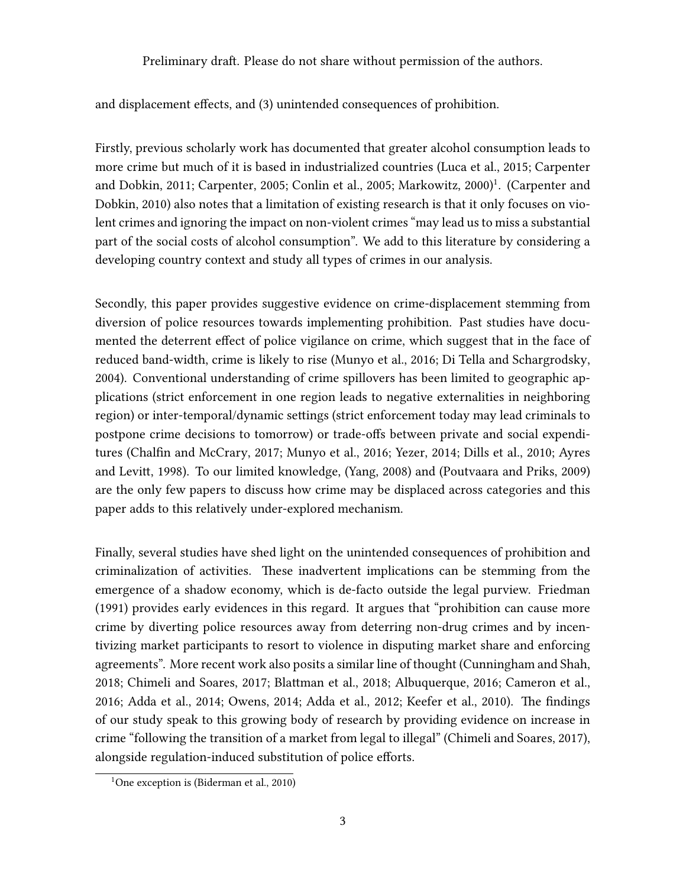and displacement effects, and (3) unintended consequences of prohibition.

Firstly, previous scholarly work has documented that greater alcohol consumption leads to more crime but much of it is based in industrialized countries [\(Luca et al.,](#page-20-2) [2015;](#page-20-2) [Carpenter](#page-19-0) [and Dobkin,](#page-19-0) [2011;](#page-19-0) [Carpenter,](#page-19-1) [2005;](#page-19-1) [Conlin et al.,](#page-19-2) [2005;](#page-19-2) [Markowitz,](#page-20-3) [2000\)](#page-20-3) [1](#page-36-0) . [\(Carpenter and](#page-19-3) [Dobkin,](#page-19-3) [2010\)](#page-19-3) also notes that a limitation of existing research is that it only focuses on violent crimes and ignoring the impact on non-violent crimes "may lead us to miss a substantial part of the social costs of alcohol consumption". We add to this literature by considering a developing country context and study all types of crimes in our analysis.

Secondly, this paper provides suggestive evidence on crime-displacement stemming from diversion of police resources towards implementing prohibition. Past studies have documented the deterrent effect of police vigilance on crime, which suggest that in the face of reduced band-width, crime is likely to rise [\(Munyo et al.,](#page-21-0) [2016;](#page-21-0) [Di Tella and Schargrodsky,](#page-19-4) [2004\)](#page-19-4). Conventional understanding of crime spillovers has been limited to geographic applications (strict enforcement in one region leads to negative externalities in neighboring region) or inter-temporal/dynamic settings (strict enforcement today may lead criminals to postpone crime decisions to tomorrow) or trade-offs between private and social expenditures [\(Chalfin and McCrary,](#page-19-5) [2017;](#page-19-5) [Munyo et al.,](#page-21-0) [2016;](#page-21-0) [Yezer,](#page-21-1) [2014;](#page-21-1) [Dills et al.,](#page-19-6) [2010;](#page-19-6) [Ayres](#page-18-1) [and Levitt,](#page-18-1) [1998\)](#page-18-1). To our limited knowledge, [\(Yang,](#page-21-2) [2008\)](#page-21-2) and [\(Poutvaara and Priks,](#page-21-3) [2009\)](#page-21-3) are the only few papers to discuss how crime may be displaced across categories and this paper adds to this relatively under-explored mechanism.

Finally, several studies have shed light on the unintended consequences of prohibition and criminalization of activities. These inadvertent implications can be stemming from the emergence of a shadow economy, which is de-facto outside the legal purview. Friedman (1991) provides early evidences in this regard. It argues that "prohibition can cause more crime by diverting police resources away from deterring non-drug crimes and by incentivizing market participants to resort to violence in disputing market share and enforcing agreements". More recent work also posits a similar line of thought [\(Cunningham and Shah,](#page-19-7) [2018;](#page-19-7) [Chimeli and Soares,](#page-19-8) [2017;](#page-19-8) [Blattman et al.,](#page-18-2) [2018;](#page-18-2) [Albuquerque,](#page-18-3) [2016;](#page-18-3) [Cameron et al.,](#page-19-9) [2016;](#page-19-9) [Adda et al.,](#page-18-4) [2014;](#page-18-4) [Owens,](#page-21-4) [2014;](#page-21-4) [Adda et al.,](#page-18-5) [2012;](#page-18-5) [Keefer et al.,](#page-20-4) [2010\)](#page-20-4). The findings of our study speak to this growing body of research by providing evidence on increase in crime "following the transition of a market from legal to illegal" [\(Chimeli and Soares,](#page-19-8) [2017\)](#page-19-8), alongside regulation-induced substitution of police efforts.

<sup>&</sup>lt;sup>1</sup>One exception is [\(Biderman et al.,](#page-18-6) [2010\)](#page-18-6)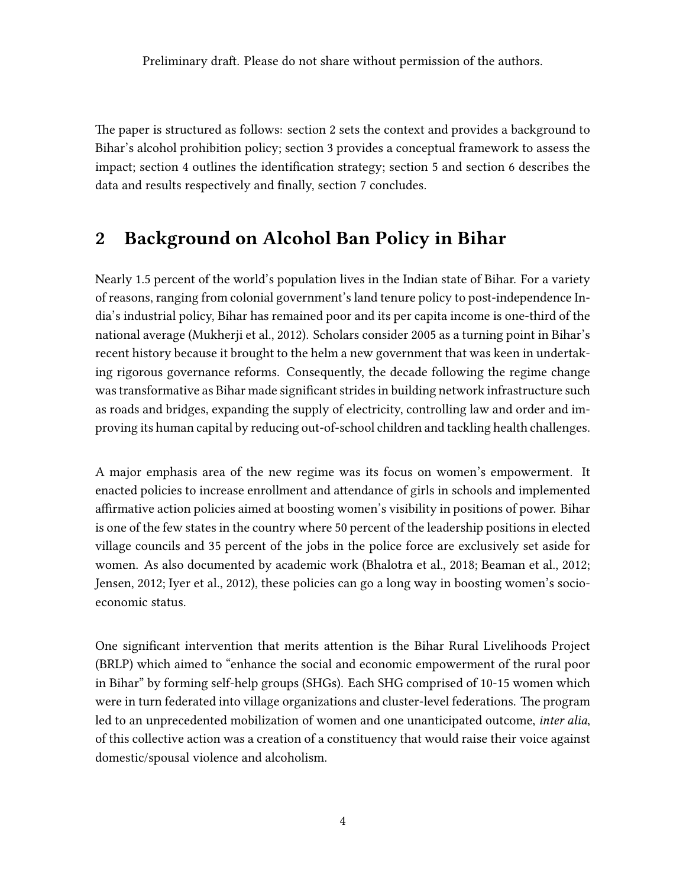The paper is structured as follows: section [2](#page-3-0) sets the context and provides a background to Bihar's alcohol prohibition policy; section [3](#page-6-0) provides a conceptual framework to assess the impact; section [4](#page-8-0) outlines the identification strategy; section [5](#page-10-0) and section [6](#page-11-0) describes the data and results respectively and finally, section [7](#page-17-0) concludes.

# <span id="page-3-0"></span>2 Background on Alcohol Ban Policy in Bihar

Nearly 1.5 percent of the world's population lives in the Indian state of Bihar. For a variety of reasons, ranging from colonial government's land tenure policy to post-independence India's industrial policy, Bihar has remained poor and its per capita income is one-third of the national average [\(Mukherji et al.,](#page-21-5) [2012\)](#page-21-5). Scholars consider 2005 as a turning point in Bihar's recent history because it brought to the helm a new government that was keen in undertaking rigorous governance reforms. Consequently, the decade following the regime change was transformative as Bihar made significant strides in building network infrastructure such as roads and bridges, expanding the supply of electricity, controlling law and order and improving its human capital by reducing out-of-school children and tackling health challenges.

A major emphasis area of the new regime was its focus on women's empowerment. It enacted policies to increase enrollment and attendance of girls in schools and implemented affirmative action policies aimed at boosting women's visibility in positions of power. Bihar is one of the few states in the country where 50 percent of the leadership positions in elected village councils and 35 percent of the jobs in the police force are exclusively set aside for women. As also documented by academic work [\(Bhalotra et al.,](#page-18-7) [2018;](#page-18-7) [Beaman et al.,](#page-18-8) [2012;](#page-18-8) [Jensen,](#page-20-5) [2012;](#page-20-5) [Iyer et al.,](#page-20-6) [2012\)](#page-20-6), these policies can go a long way in boosting women's socioeconomic status.

One significant intervention that merits attention is the Bihar Rural Livelihoods Project (BRLP) which aimed to "enhance the social and economic empowerment of the rural poor in Bihar" by forming self-help groups (SHGs). Each SHG comprised of 10-15 women which were in turn federated into village organizations and cluster-level federations. The program led to an unprecedented mobilization of women and one unanticipated outcome, inter alia, of this collective action was a creation of a constituency that would raise their voice against domestic/spousal violence and alcoholism.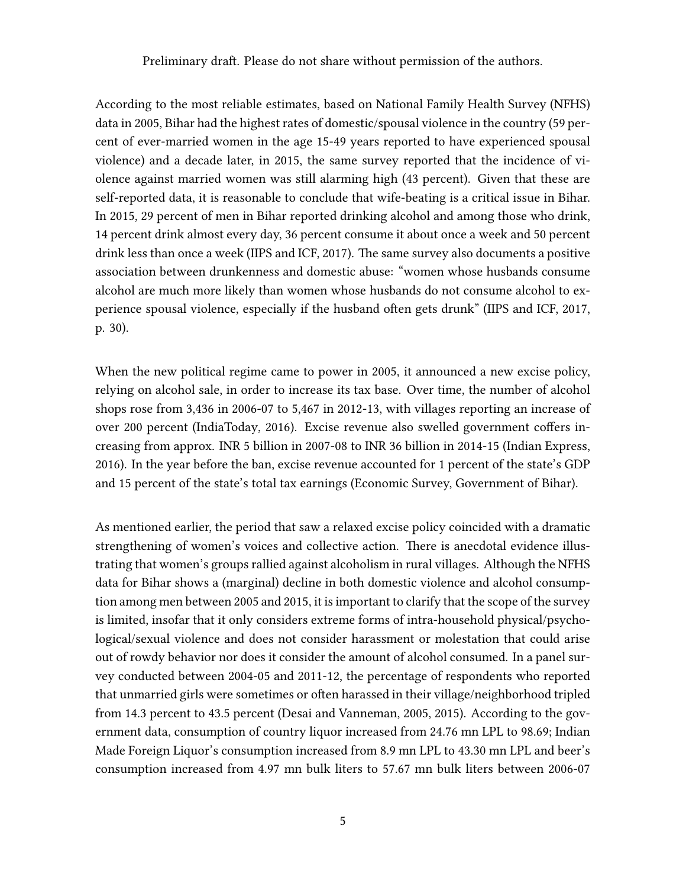According to the most reliable estimates, based on National Family Health Survey (NFHS) data in 2005, Bihar had the highest rates of domestic/spousal violence in the country (59 percent of ever-married women in the age 15-49 years reported to have experienced spousal violence) and a decade later, in 2015, the same survey reported that the incidence of violence against married women was still alarming high (43 percent). Given that these are self-reported data, it is reasonable to conclude that wife-beating is a critical issue in Bihar. In 2015, 29 percent of men in Bihar reported drinking alcohol and among those who drink, 14 percent drink almost every day, 36 percent consume it about once a week and 50 percent drink less than once a week (IIPS and ICF, 2017). The same survey also documents a positive association between drunkenness and domestic abuse: "women whose husbands consume alcohol are much more likely than women whose husbands do not consume alcohol to experience spousal violence, especially if the husband often gets drunk" (IIPS and ICF, 2017, p. 30).

When the new political regime came to power in 2005, it announced a new excise policy, relying on alcohol sale, in order to increase its tax base. Over time, the number of alcohol shops rose from 3,436 in 2006-07 to 5,467 in 2012-13, with villages reporting an increase of over 200 percent [\(IndiaToday,](#page-20-7) [2016\)](#page-20-7). Excise revenue also swelled government coffers increasing from approx. INR 5 billion in 2007-08 to INR 36 billion in 2014-15 (Indian Express, 2016). In the year before the ban, excise revenue accounted for 1 percent of the state's GDP and 15 percent of the state's total tax earnings (Economic Survey, Government of Bihar).

As mentioned earlier, the period that saw a relaxed excise policy coincided with a dramatic strengthening of women's voices and collective action. There is anecdotal evidence illustrating that women's groups rallied against alcoholism in rural villages. Although the NFHS data for Bihar shows a (marginal) decline in both domestic violence and alcohol consumption among men between 2005 and 2015, it is important to clarify that the scope of the survey is limited, insofar that it only considers extreme forms of intra-household physical/psychological/sexual violence and does not consider harassment or molestation that could arise out of rowdy behavior nor does it consider the amount of alcohol consumed. In a panel survey conducted between 2004-05 and 2011-12, the percentage of respondents who reported that unmarried girls were sometimes or often harassed in their village/neighborhood tripled from 14.3 percent to 43.5 percent [\(Desai and Vanneman,](#page-19-10) [2005,](#page-19-10) [2015\)](#page-19-11). According to the government data, consumption of country liquor increased from 24.76 mn LPL to 98.69; Indian Made Foreign Liquor's consumption increased from 8.9 mn LPL to 43.30 mn LPL and beer's consumption increased from 4.97 mn bulk liters to 57.67 mn bulk liters between 2006-07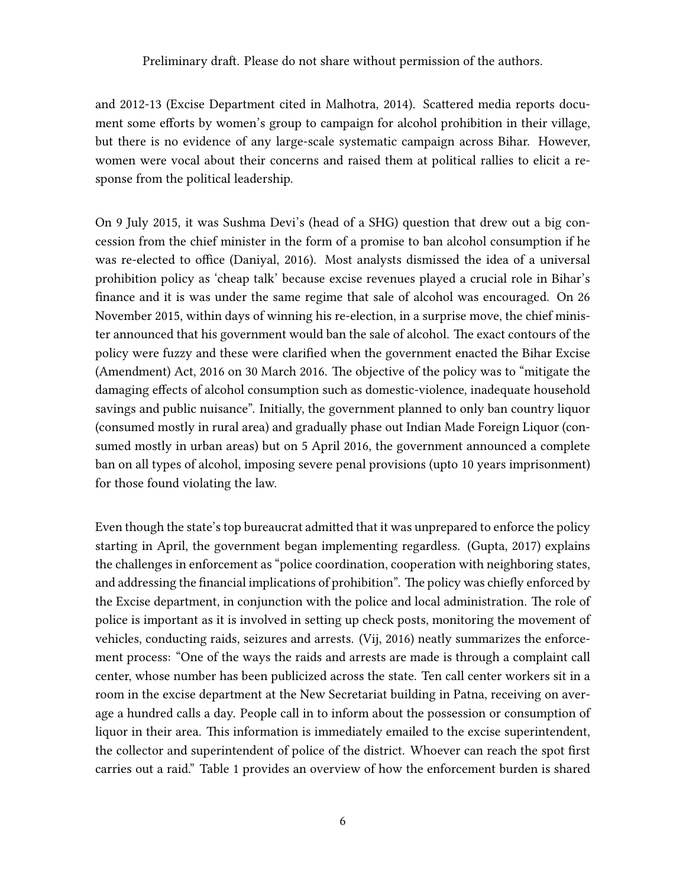and 2012-13 (Excise Department cited in Malhotra, 2014). Scattered media reports document some efforts by women's group to campaign for alcohol prohibition in their village, but there is no evidence of any large-scale systematic campaign across Bihar. However, women were vocal about their concerns and raised them at political rallies to elicit a response from the political leadership.

On 9 July 2015, it was Sushma Devi's (head of a SHG) question that drew out a big concession from the chief minister in the form of a promise to ban alcohol consumption if he was re-elected to office (Daniyal, 2016). Most analysts dismissed the idea of a universal prohibition policy as 'cheap talk' because excise revenues played a crucial role in Bihar's finance and it is was under the same regime that sale of alcohol was encouraged. On 26 November 2015, within days of winning his re-election, in a surprise move, the chief minister announced that his government would ban the sale of alcohol. The exact contours of the policy were fuzzy and these were clarified when the government enacted the Bihar Excise (Amendment) Act, 2016 on 30 March 2016. The objective of the policy was to "mitigate the damaging effects of alcohol consumption such as domestic-violence, inadequate household savings and public nuisance". Initially, the government planned to only ban country liquor (consumed mostly in rural area) and gradually phase out Indian Made Foreign Liquor (consumed mostly in urban areas) but on 5 April 2016, the government announced a complete ban on all types of alcohol, imposing severe penal provisions (upto 10 years imprisonment) for those found violating the law.

Even though the state's top bureaucrat admitted that it was unprepared to enforce the policy starting in April, the government began implementing regardless. [\(Gupta,](#page-20-8) [2017\)](#page-20-8) explains the challenges in enforcement as "police coordination, cooperation with neighboring states, and addressing the financial implications of prohibition". The policy was chiefly enforced by the Excise department, in conjunction with the police and local administration. The role of police is important as it is involved in setting up check posts, monitoring the movement of vehicles, conducting raids, seizures and arrests. [\(Vij,](#page-21-6) [2016\)](#page-21-6) neatly summarizes the enforcement process: "One of the ways the raids and arrests are made is through a complaint call center, whose number has been publicized across the state. Ten call center workers sit in a room in the excise department at the New Secretariat building in Patna, receiving on average a hundred calls a day. People call in to inform about the possession or consumption of liquor in their area. This information is immediately emailed to the excise superintendent, the collector and superintendent of police of the district. Whoever can reach the spot first carries out a raid." Table [1](#page-28-0) provides an overview of how the enforcement burden is shared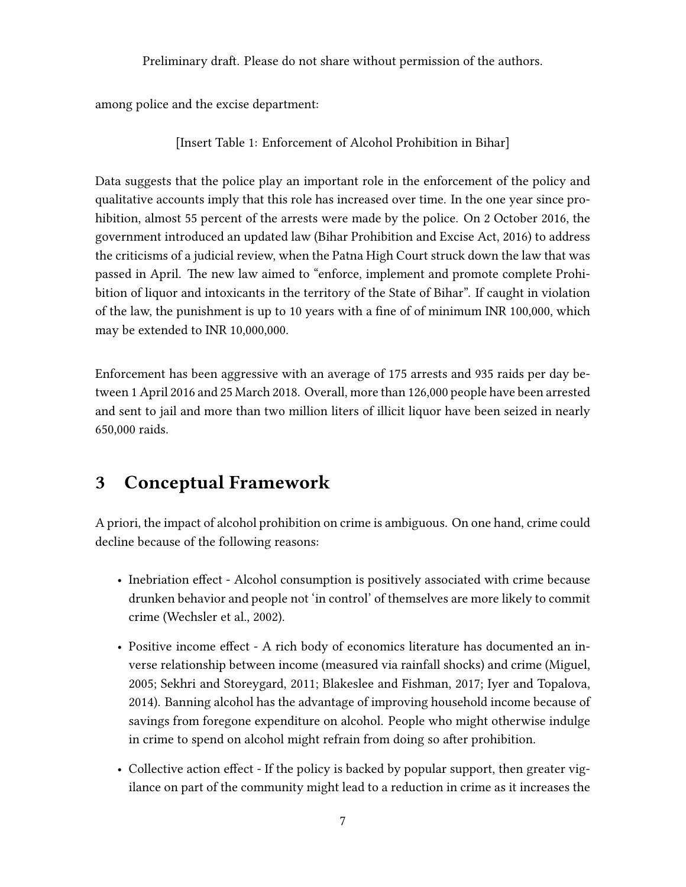among police and the excise department:

[Insert Table [1:](#page-28-0) Enforcement of Alcohol Prohibition in Bihar]

Data suggests that the police play an important role in the enforcement of the policy and qualitative accounts imply that this role has increased over time. In the one year since prohibition, almost 55 percent of the arrests were made by the police. On 2 October 2016, the government introduced an updated law (Bihar Prohibition and Excise Act, 2016) to address the criticisms of a judicial review, when the Patna High Court struck down the law that was passed in April. The new law aimed to "enforce, implement and promote complete Prohibition of liquor and intoxicants in the territory of the State of Bihar". If caught in violation of the law, the punishment is up to 10 years with a fine of of minimum INR 100,000, which may be extended to INR 10,000,000.

Enforcement has been aggressive with an average of 175 arrests and 935 raids per day between 1 April 2016 and 25 March 2018. Overall, more than 126,000 people have been arrested and sent to jail and more than two million liters of illicit liquor have been seized in nearly 650,000 raids.

# <span id="page-6-0"></span>3 Conceptual Framework

A priori, the impact of alcohol prohibition on crime is ambiguous. On one hand, crime could decline because of the following reasons:

- Inebriation effect Alcohol consumption is positively associated with crime because drunken behavior and people not 'in control' of themselves are more likely to commit crime [\(Wechsler et al.,](#page-21-7) [2002\)](#page-21-7).
- Positive income effect A rich body of economics literature has documented an inverse relationship between income (measured via rainfall shocks) and crime [\(Miguel,](#page-21-8) [2005;](#page-21-8) [Sekhri and Storeygard,](#page-21-9) [2011;](#page-21-9) [Blakeslee and Fishman,](#page-18-9) [2017;](#page-18-9) [Iyer and Topalova,](#page-20-9) [2014\)](#page-20-9). Banning alcohol has the advantage of improving household income because of savings from foregone expenditure on alcohol. People who might otherwise indulge in crime to spend on alcohol might refrain from doing so after prohibition.
- Collective action effect If the policy is backed by popular support, then greater vigilance on part of the community might lead to a reduction in crime as it increases the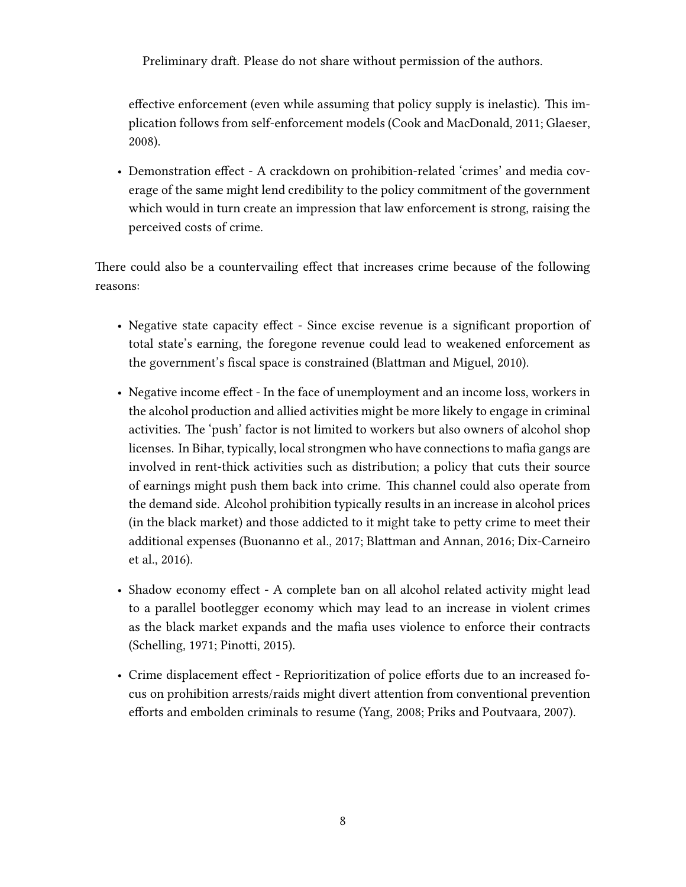effective enforcement (even while assuming that policy supply is inelastic). This implication follows from self-enforcement models [\(Cook and MacDonald,](#page-19-12) [2011;](#page-19-12) [Glaeser,](#page-20-10) [2008\)](#page-20-10).

• Demonstration effect - A crackdown on prohibition-related 'crimes' and media coverage of the same might lend credibility to the policy commitment of the government which would in turn create an impression that law enforcement is strong, raising the perceived costs of crime.

There could also be a countervailing effect that increases crime because of the following reasons:

- Negative state capacity effect Since excise revenue is a significant proportion of total state's earning, the foregone revenue could lead to weakened enforcement as the government's fiscal space is constrained [\(Blattman and Miguel,](#page-18-10) [2010\)](#page-18-10).
- Negative income effect In the face of unemployment and an income loss, workers in the alcohol production and allied activities might be more likely to engage in criminal activities. The 'push' factor is not limited to workers but also owners of alcohol shop licenses. In Bihar, typically, local strongmen who have connections to mafia gangs are involved in rent-thick activities such as distribution; a policy that cuts their source of earnings might push them back into crime. This channel could also operate from the demand side. Alcohol prohibition typically results in an increase in alcohol prices (in the black market) and those addicted to it might take to petty crime to meet their additional expenses [\(Buonanno et al.,](#page-18-11) [2017;](#page-18-11) [Blattman and Annan,](#page-18-12) [2016;](#page-18-12) [Dix-Carneiro](#page-20-11) [et al.,](#page-20-11) [2016\)](#page-20-11).
- Shadow economy effect A complete ban on all alcohol related activity might lead to a parallel bootlegger economy which may lead to an increase in violent crimes as the black market expands and the mafia uses violence to enforce their contracts [\(Schelling,](#page-21-10) [1971;](#page-21-10) [Pinotti,](#page-21-11) [2015\)](#page-21-11).
- Crime displacement effect Reprioritization of police efforts due to an increased focus on prohibition arrests/raids might divert attention from conventional prevention efforts and embolden criminals to resume [\(Yang,](#page-21-2) [2008;](#page-21-2) [Priks and Poutvaara,](#page-21-12) [2007\)](#page-21-12).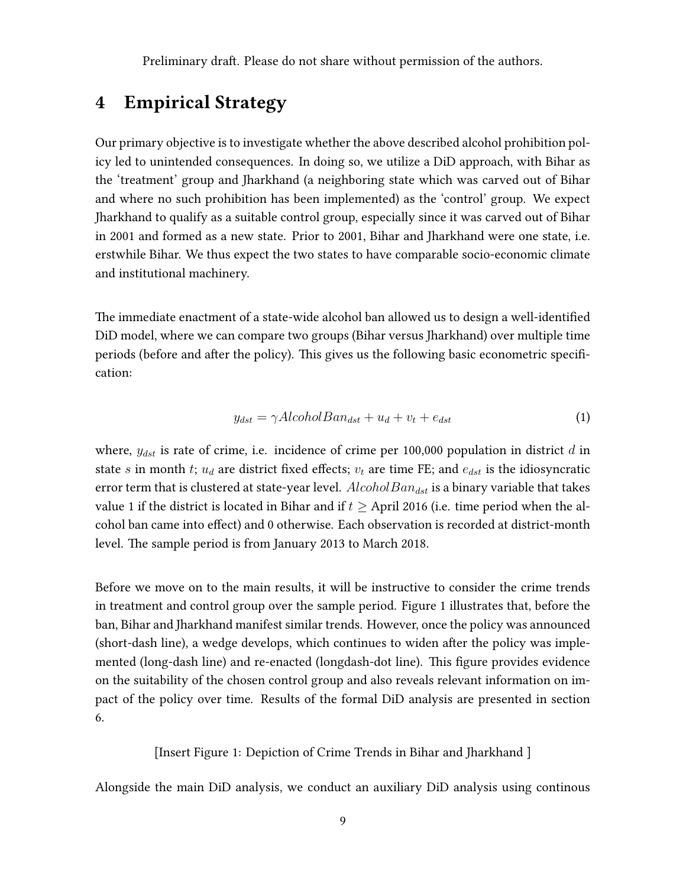# <span id="page-8-0"></span>4 Empirical Strategy

Our primary objective is to investigate whether the above described alcohol prohibition policy led to unintended consequences. In doing so, we utilize a DiD approach, with Bihar as the 'treatment' group and Jharkhand (a neighboring state which was carved out of Bihar and where no such prohibition has been implemented) as the 'control' group. We expect Jharkhand to qualify as a suitable control group, especially since it was carved out of Bihar in 2001 and formed as a new state. Prior to 2001, Bihar and Jharkhand were one state, i.e. erstwhile Bihar. We thus expect the two states to have comparable socio-economic climate and institutional machinery.

The immediate enactment of a state-wide alcohol ban allowed us to design a well-identified DiD model, where we can compare two groups (Bihar versus Jharkhand) over multiple time periods (before and after the policy). This gives us the following basic econometric specification:

$$
y_{dst} = \gamma Alcohol Ban_{dst} + u_d + v_t + e_{dst} \tag{1}
$$

where,  $y_{dst}$  is rate of crime, i.e. incidence of crime per 100,000 population in district d in state s in month t;  $u_d$  are district fixed effects;  $v_t$  are time FE; and  $e_{dst}$  is the idiosyncratic error term that is clustered at state-year level.  $Alcohol Ban_{dst}$  is a binary variable that takes value 1 if the district is located in Bihar and if  $t \geq$  April 2016 (i.e. time period when the alcohol ban came into effect) and 0 otherwise. Each observation is recorded at district-month level. The sample period is from January 2013 to March 2018.

Before we move on to the main results, it will be instructive to consider the crime trends in treatment and control group over the sample period. Figure [1](#page-22-0) illustrates that, before the ban, Bihar and Jharkhand manifest similar trends. However, once the policy was announced (short-dash line), a wedge develops, which continues to widen after the policy was implemented (long-dash line) and re-enacted (longdash-dot line). This figure provides evidence on the suitability of the chosen control group and also reveals relevant information on impact of the policy over time. Results of the formal DiD analysis are presented in section [6.](#page-11-0)

[Insert Figure [1:](#page-22-0) Depiction of Crime Trends in Bihar and Jharkhand ]

Alongside the main DiD analysis, we conduct an auxiliary DiD analysis using continous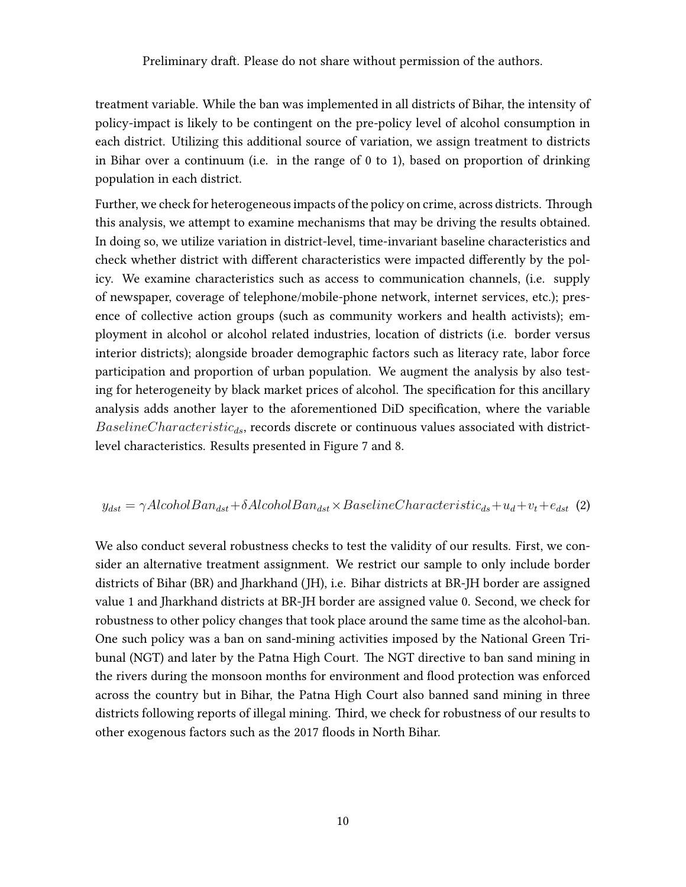treatment variable. While the ban was implemented in all districts of Bihar, the intensity of policy-impact is likely to be contingent on the pre-policy level of alcohol consumption in each district. Utilizing this additional source of variation, we assign treatment to districts in Bihar over a continuum (i.e. in the range of 0 to 1), based on proportion of drinking population in each district.

Further, we check for heterogeneous impacts of the policy on crime, across districts. Through this analysis, we attempt to examine mechanisms that may be driving the results obtained. In doing so, we utilize variation in district-level, time-invariant baseline characteristics and check whether district with different characteristics were impacted differently by the policy. We examine characteristics such as access to communication channels, (i.e. supply of newspaper, coverage of telephone/mobile-phone network, internet services, etc.); presence of collective action groups (such as community workers and health activists); employment in alcohol or alcohol related industries, location of districts (i.e. border versus interior districts); alongside broader demographic factors such as literacy rate, labor force participation and proportion of urban population. We augment the analysis by also testing for heterogeneity by black market prices of alcohol. The specification for this ancillary analysis adds another layer to the aforementioned DiD specification, where the variable  $BaselineCharacteristic_{ds}$ , records discrete or continuous values associated with districtlevel characteristics. Results presented in Figure [7](#page-30-0) and [8.](#page-31-0)

#### $y_{dst} = \gamma Alcohol Ban_{dst} + \delta Alcohol Ban_{dst} \times Baseline Characteristic_{ds} + u_d + v_t + e_{dst}$  (2)

We also conduct several robustness checks to test the validity of our results. First, we consider an alternative treatment assignment. We restrict our sample to only include border districts of Bihar (BR) and Jharkhand (JH), i.e. Bihar districts at BR-JH border are assigned value 1 and Jharkhand districts at BR-JH border are assigned value 0. Second, we check for robustness to other policy changes that took place around the same time as the alcohol-ban. One such policy was a ban on sand-mining activities imposed by the National Green Tribunal (NGT) and later by the Patna High Court. The NGT directive to ban sand mining in the rivers during the monsoon months for environment and flood protection was enforced across the country but in Bihar, the Patna High Court also banned sand mining in three districts following reports of illegal mining. Third, we check for robustness of our results to other exogenous factors such as the 2017 floods in North Bihar.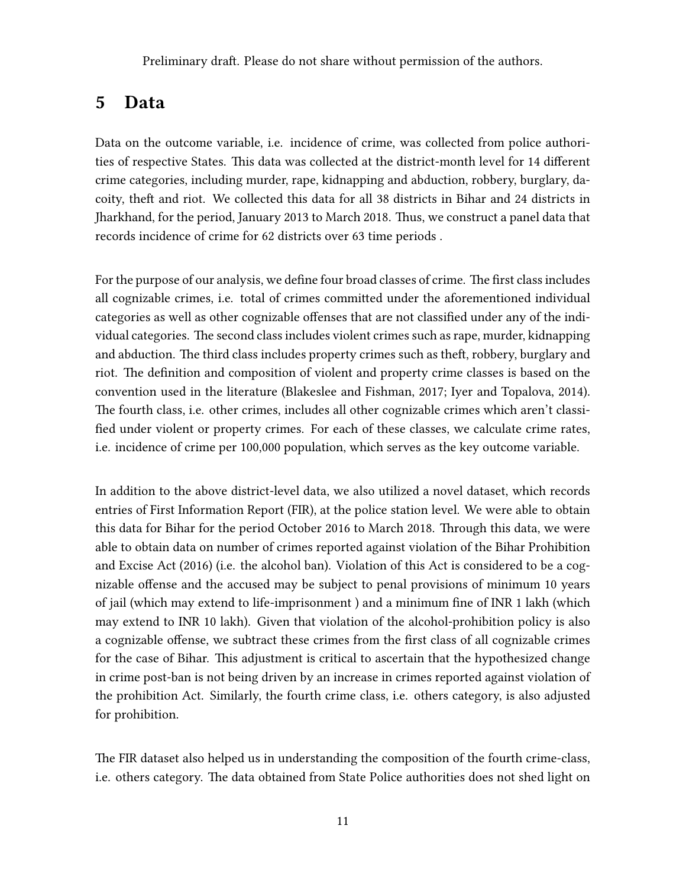### <span id="page-10-0"></span>5 Data

Data on the outcome variable, i.e. incidence of crime, was collected from police authorities of respective States. This data was collected at the district-month level for 14 different crime categories, including murder, rape, kidnapping and abduction, robbery, burglary, dacoity, theft and riot. We collected this data for all 38 districts in Bihar and 24 districts in Jharkhand, for the period, January 2013 to March 2018. Thus, we construct a panel data that records incidence of crime for 62 districts over 63 time periods .

For the purpose of our analysis, we define four broad classes of crime. The first class includes all cognizable crimes, i.e. total of crimes committed under the aforementioned individual categories as well as other cognizable offenses that are not classified under any of the individual categories. The second class includes violent crimes such as rape, murder, kidnapping and abduction. The third class includes property crimes such as theft, robbery, burglary and riot. The definition and composition of violent and property crime classes is based on the convention used in the literature [\(Blakeslee and Fishman,](#page-18-9) [2017;](#page-18-9) [Iyer and Topalova,](#page-20-9) [2014\)](#page-20-9). The fourth class, i.e. other crimes, includes all other cognizable crimes which aren't classified under violent or property crimes. For each of these classes, we calculate crime rates, i.e. incidence of crime per 100,000 population, which serves as the key outcome variable.

In addition to the above district-level data, we also utilized a novel dataset, which records entries of First Information Report (FIR), at the police station level. We were able to obtain this data for Bihar for the period October 2016 to March 2018. Through this data, we were able to obtain data on number of crimes reported against violation of the Bihar Prohibition and Excise Act (2016) (i.e. the alcohol ban). Violation of this Act is considered to be a cognizable offense and the accused may be subject to penal provisions of minimum 10 years of jail (which may extend to life-imprisonment ) and a minimum fine of INR 1 lakh (which may extend to INR 10 lakh). Given that violation of the alcohol-prohibition policy is also a cognizable offense, we subtract these crimes from the first class of all cognizable crimes for the case of Bihar. This adjustment is critical to ascertain that the hypothesized change in crime post-ban is not being driven by an increase in crimes reported against violation of the prohibition Act. Similarly, the fourth crime class, i.e. others category, is also adjusted for prohibition.

The FIR dataset also helped us in understanding the composition of the fourth crime-class, i.e. others category. The data obtained from State Police authorities does not shed light on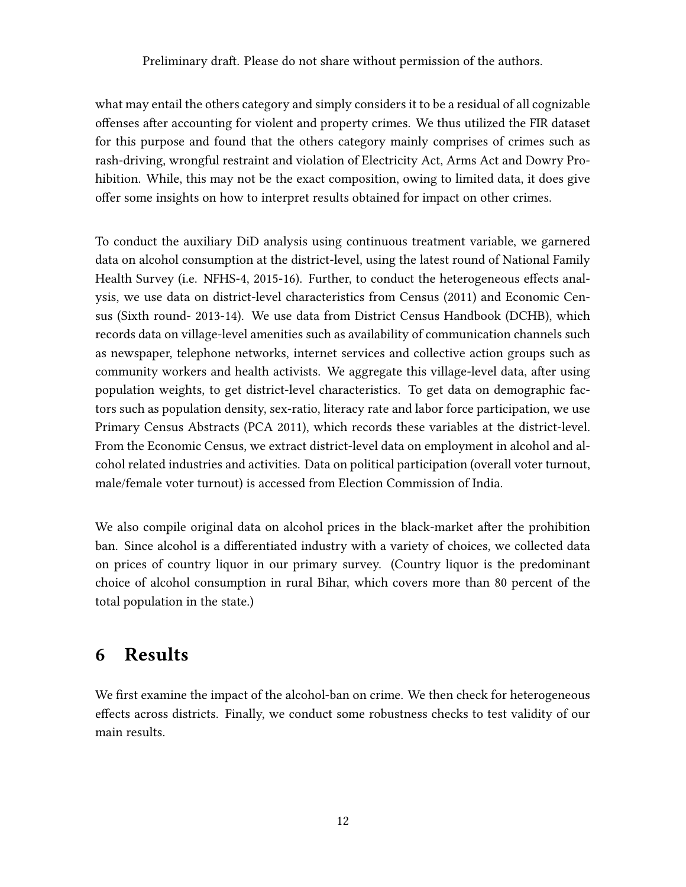what may entail the others category and simply considers it to be a residual of all cognizable offenses after accounting for violent and property crimes. We thus utilized the FIR dataset for this purpose and found that the others category mainly comprises of crimes such as rash-driving, wrongful restraint and violation of Electricity Act, Arms Act and Dowry Prohibition. While, this may not be the exact composition, owing to limited data, it does give offer some insights on how to interpret results obtained for impact on other crimes.

To conduct the auxiliary DiD analysis using continuous treatment variable, we garnered data on alcohol consumption at the district-level, using the latest round of National Family Health Survey (i.e. NFHS-4, 2015-16). Further, to conduct the heterogeneous effects analysis, we use data on district-level characteristics from Census (2011) and Economic Census (Sixth round- 2013-14). We use data from District Census Handbook (DCHB), which records data on village-level amenities such as availability of communication channels such as newspaper, telephone networks, internet services and collective action groups such as community workers and health activists. We aggregate this village-level data, after using population weights, to get district-level characteristics. To get data on demographic factors such as population density, sex-ratio, literacy rate and labor force participation, we use Primary Census Abstracts (PCA 2011), which records these variables at the district-level. From the Economic Census, we extract district-level data on employment in alcohol and alcohol related industries and activities. Data on political participation (overall voter turnout, male/female voter turnout) is accessed from Election Commission of India.

We also compile original data on alcohol prices in the black-market after the prohibition ban. Since alcohol is a differentiated industry with a variety of choices, we collected data on prices of country liquor in our primary survey. (Country liquor is the predominant choice of alcohol consumption in rural Bihar, which covers more than 80 percent of the total population in the state.)

### <span id="page-11-0"></span>6 Results

We first examine the impact of the alcohol-ban on crime. We then check for heterogeneous effects across districts. Finally, we conduct some robustness checks to test validity of our main results.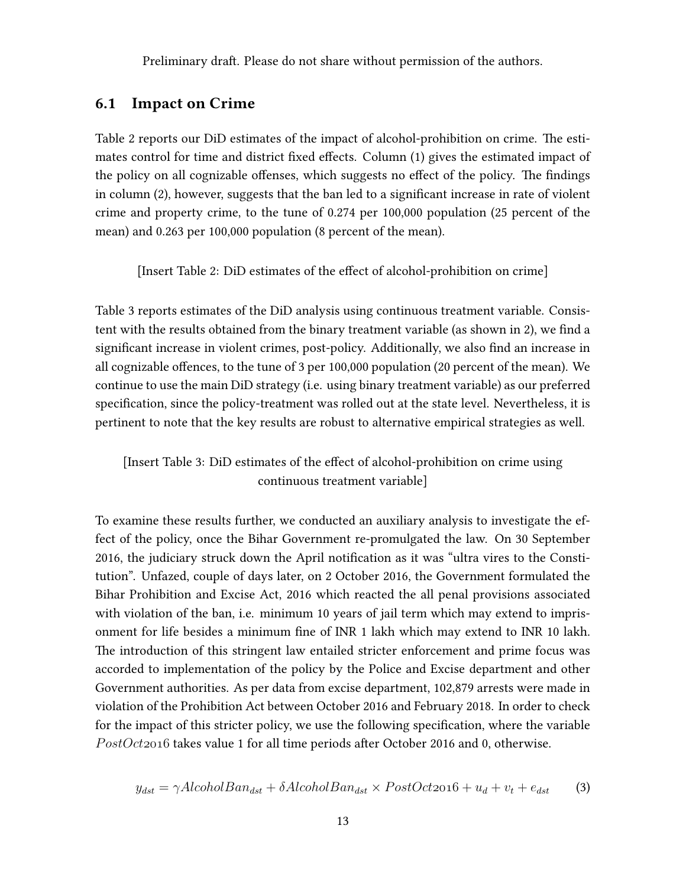#### 6.1 Impact on Crime

Table [2](#page-28-1) reports our DiD estimates of the impact of alcohol-prohibition on crime. The estimates control for time and district fixed effects. Column (1) gives the estimated impact of the policy on all cognizable offenses, which suggests no effect of the policy. The findings in column (2), however, suggests that the ban led to a significant increase in rate of violent crime and property crime, to the tune of 0.274 per 100,000 population (25 percent of the mean) and 0.263 per 100,000 population (8 percent of the mean).

[Insert Table [2:](#page-28-1) DiD estimates of the effect of alcohol-prohibition on crime]

Table [3](#page-29-0) reports estimates of the DiD analysis using continuous treatment variable. Consistent with the results obtained from the binary treatment variable (as shown in [2\)](#page-28-1), we find a significant increase in violent crimes, post-policy. Additionally, we also find an increase in all cognizable offences, to the tune of 3 per 100,000 population (20 percent of the mean). We continue to use the main DiD strategy (i.e. using binary treatment variable) as our preferred specification, since the policy-treatment was rolled out at the state level. Nevertheless, it is pertinent to note that the key results are robust to alternative empirical strategies as well.

#### [Insert Table [3:](#page-29-0) DiD estimates of the effect of alcohol-prohibition on crime using continuous treatment variable]

To examine these results further, we conducted an auxiliary analysis to investigate the effect of the policy, once the Bihar Government re-promulgated the law. On 30 September 2016, the judiciary struck down the April notification as it was "ultra vires to the Constitution". Unfazed, couple of days later, on 2 October 2016, the Government formulated the Bihar Prohibition and Excise Act, 2016 which reacted the all penal provisions associated with violation of the ban, i.e. minimum 10 years of jail term which may extend to imprisonment for life besides a minimum fine of INR 1 lakh which may extend to INR 10 lakh. The introduction of this stringent law entailed stricter enforcement and prime focus was accorded to implementation of the policy by the Police and Excise department and other Government authorities. As per data from excise department, 102,879 arrests were made in violation of the Prohibition Act between October 2016 and February 2018. In order to check for the impact of this stricter policy, we use the following specification, where the variable  $PostOct2016$  takes value 1 for all time periods after October 2016 and 0, otherwise.

$$
y_{dst} = \gamma Alcohol Ban_{dst} + \delta Alcohol Ban_{dst} \times PostOct2016 + u_d + v_t + e_{dst} \tag{3}
$$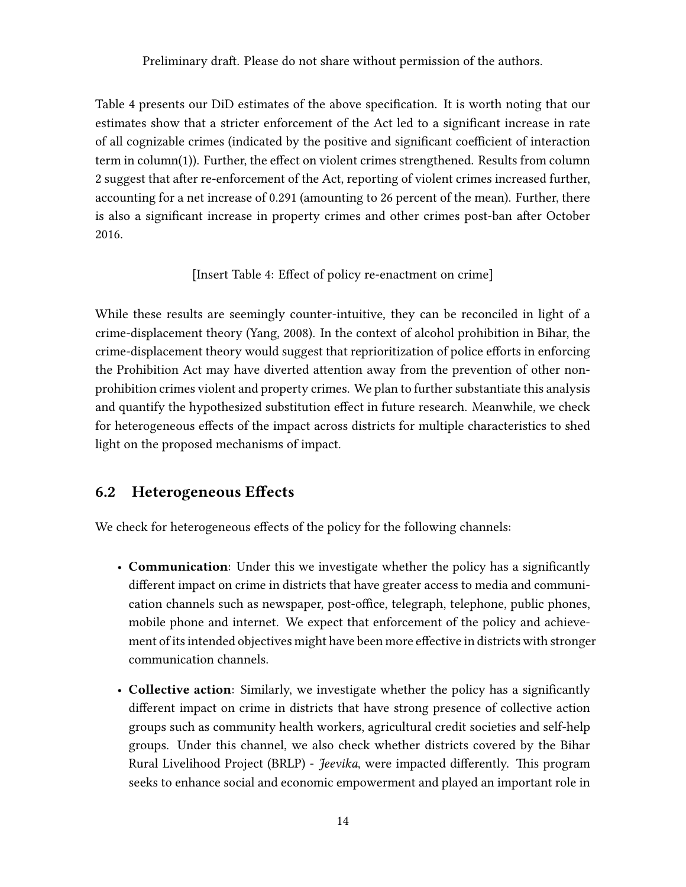Table [4](#page-29-1) presents our DiD estimates of the above specification. It is worth noting that our estimates show that a stricter enforcement of the Act led to a significant increase in rate of all cognizable crimes (indicated by the positive and significant coefficient of interaction term in column(1)). Further, the effect on violent crimes strengthened. Results from column 2 suggest that after re-enforcement of the Act, reporting of violent crimes increased further, accounting for a net increase of 0.291 (amounting to 26 percent of the mean). Further, there is also a significant increase in property crimes and other crimes post-ban after October 2016.

[Insert Table [4:](#page-29-1) Effect of policy re-enactment on crime]

While these results are seemingly counter-intuitive, they can be reconciled in light of a crime-displacement theory (Yang, 2008). In the context of alcohol prohibition in Bihar, the crime-displacement theory would suggest that reprioritization of police efforts in enforcing the Prohibition Act may have diverted attention away from the prevention of other nonprohibition crimes violent and property crimes. We plan to further substantiate this analysis and quantify the hypothesized substitution effect in future research. Meanwhile, we check for heterogeneous effects of the impact across districts for multiple characteristics to shed light on the proposed mechanisms of impact.

### 6.2 Heterogeneous Effects

We check for heterogeneous effects of the policy for the following channels:

- Communication: Under this we investigate whether the policy has a significantly different impact on crime in districts that have greater access to media and communication channels such as newspaper, post-office, telegraph, telephone, public phones, mobile phone and internet. We expect that enforcement of the policy and achievement of its intended objectives might have been more effective in districts with stronger communication channels.
- Collective action: Similarly, we investigate whether the policy has a significantly different impact on crime in districts that have strong presence of collective action groups such as community health workers, agricultural credit societies and self-help groups. Under this channel, we also check whether districts covered by the Bihar Rural Livelihood Project (BRLP) - Jeevika, were impacted differently. This program seeks to enhance social and economic empowerment and played an important role in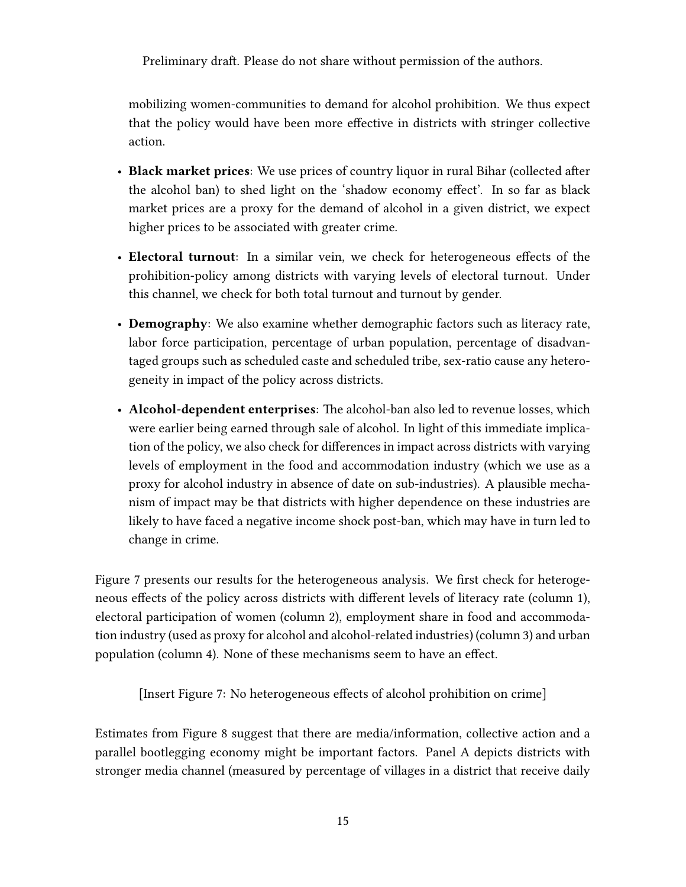mobilizing women-communities to demand for alcohol prohibition. We thus expect that the policy would have been more effective in districts with stringer collective action.

- Black market prices: We use prices of country liquor in rural Bihar (collected after the alcohol ban) to shed light on the 'shadow economy effect'. In so far as black market prices are a proxy for the demand of alcohol in a given district, we expect higher prices to be associated with greater crime.
- Electoral turnout: In a similar vein, we check for heterogeneous effects of the prohibition-policy among districts with varying levels of electoral turnout. Under this channel, we check for both total turnout and turnout by gender.
- Demography: We also examine whether demographic factors such as literacy rate, labor force participation, percentage of urban population, percentage of disadvantaged groups such as scheduled caste and scheduled tribe, sex-ratio cause any heterogeneity in impact of the policy across districts.
- Alcohol-dependent enterprises: The alcohol-ban also led to revenue losses, which were earlier being earned through sale of alcohol. In light of this immediate implication of the policy, we also check for differences in impact across districts with varying levels of employment in the food and accommodation industry (which we use as a proxy for alcohol industry in absence of date on sub-industries). A plausible mechanism of impact may be that districts with higher dependence on these industries are likely to have faced a negative income shock post-ban, which may have in turn led to change in crime.

Figure [7](#page-30-0) presents our results for the heterogeneous analysis. We first check for heterogeneous effects of the policy across districts with different levels of literacy rate (column 1), electoral participation of women (column 2), employment share in food and accommodation industry (used as proxy for alcohol and alcohol-related industries) (column 3) and urban population (column 4). None of these mechanisms seem to have an effect.

[Insert Figure [7:](#page-30-0) No heterogeneous effects of alcohol prohibition on crime]

Estimates from Figure [8](#page-31-0) suggest that there are media/information, collective action and a parallel bootlegging economy might be important factors. Panel A depicts districts with stronger media channel (measured by percentage of villages in a district that receive daily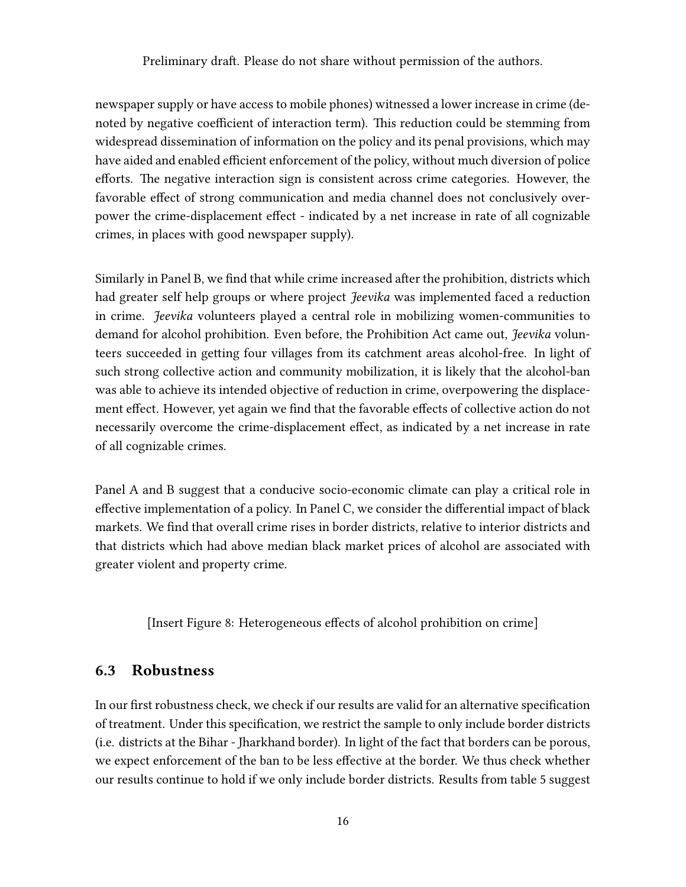newspaper supply or have access to mobile phones) witnessed a lower increase in crime (denoted by negative coefficient of interaction term). This reduction could be stemming from widespread dissemination of information on the policy and its penal provisions, which may have aided and enabled efficient enforcement of the policy, without much diversion of police efforts. The negative interaction sign is consistent across crime categories. However, the favorable effect of strong communication and media channel does not conclusively overpower the crime-displacement effect - indicated by a net increase in rate of all cognizable crimes, in places with good newspaper supply).

Similarly in Panel B, we find that while crime increased after the prohibition, districts which had greater self help groups or where project *Jeevika* was implemented faced a reduction in crime. Jeevika volunteers played a central role in mobilizing women-communities to demand for alcohol prohibition. Even before, the Prohibition Act came out, Jeevika volunteers succeeded in getting four villages from its catchment areas alcohol-free. In light of such strong collective action and community mobilization, it is likely that the alcohol-ban was able to achieve its intended objective of reduction in crime, overpowering the displacement effect. However, yet again we find that the favorable effects of collective action do not necessarily overcome the crime-displacement effect, as indicated by a net increase in rate of all cognizable crimes.

Panel A and B suggest that a conducive socio-economic climate can play a critical role in effective implementation of a policy. In Panel C, we consider the differential impact of black markets. We find that overall crime rises in border districts, relative to interior districts and that districts which had above median black market prices of alcohol are associated with greater violent and property crime.

[Insert Figure [8:](#page-31-0) Heterogeneous effects of alcohol prohibition on crime]

#### 6.3 Robustness

In our first robustness check, we check if our results are valid for an alternative specification of treatment. Under this specification, we restrict the sample to only include border districts (i.e. districts at the Bihar - Jharkhand border). In light of the fact that borders can be porous, we expect enforcement of the ban to be less effective at the border. We thus check whether our results continue to hold if we only include border districts. Results from table [5](#page-30-1) suggest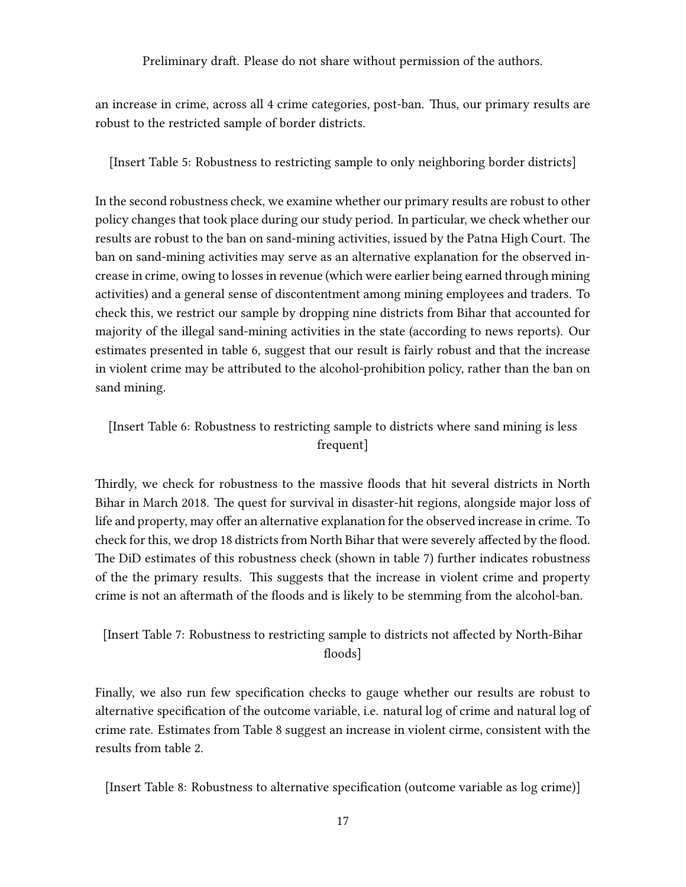an increase in crime, across all 4 crime categories, post-ban. Thus, our primary results are robust to the restricted sample of border districts.

[Insert Table [5:](#page-30-1) Robustness to restricting sample to only neighboring border districts]

In the second robustness check, we examine whether our primary results are robust to other policy changes that took place during our study period. In particular, we check whether our results are robust to the ban on sand-mining activities, issued by the Patna High Court. The ban on sand-mining activities may serve as an alternative explanation for the observed increase in crime, owing to losses in revenue (which were earlier being earned through mining activities) and a general sense of discontentment among mining employees and traders. To check this, we restrict our sample by dropping nine districts from Bihar that accounted for majority of the illegal sand-mining activities in the state (according to news reports). Our estimates presented in table [6,](#page-32-0) suggest that our result is fairly robust and that the increase in violent crime may be attributed to the alcohol-prohibition policy, rather than the ban on sand mining.

#### [Insert Table [6:](#page-32-0) Robustness to restricting sample to districts where sand mining is less frequent]

Thirdly, we check for robustness to the massive floods that hit several districts in North Bihar in March 2018. The quest for survival in disaster-hit regions, alongside major loss of life and property, may offer an alternative explanation for the observed increase in crime. To check for this, we drop 18 districts from North Bihar that were severely affected by the flood. The DiD estimates of this robustness check (shown in table [7\)](#page-32-1) further indicates robustness of the the primary results. This suggests that the increase in violent crime and property crime is not an aftermath of the floods and is likely to be stemming from the alcohol-ban.

#### [Insert Table [7:](#page-32-1) Robustness to restricting sample to districts not affected by North-Bihar floods]

Finally, we also run few specification checks to gauge whether our results are robust to alternative specification of the outcome variable, i.e. natural log of crime and natural log of crime rate. Estimates from Table [8](#page-33-0) suggest an increase in violent cirme, consistent with the results from table [2.](#page-28-1)

[Insert Table [8:](#page-33-0) Robustness to alternative specification (outcome variable as log crime)]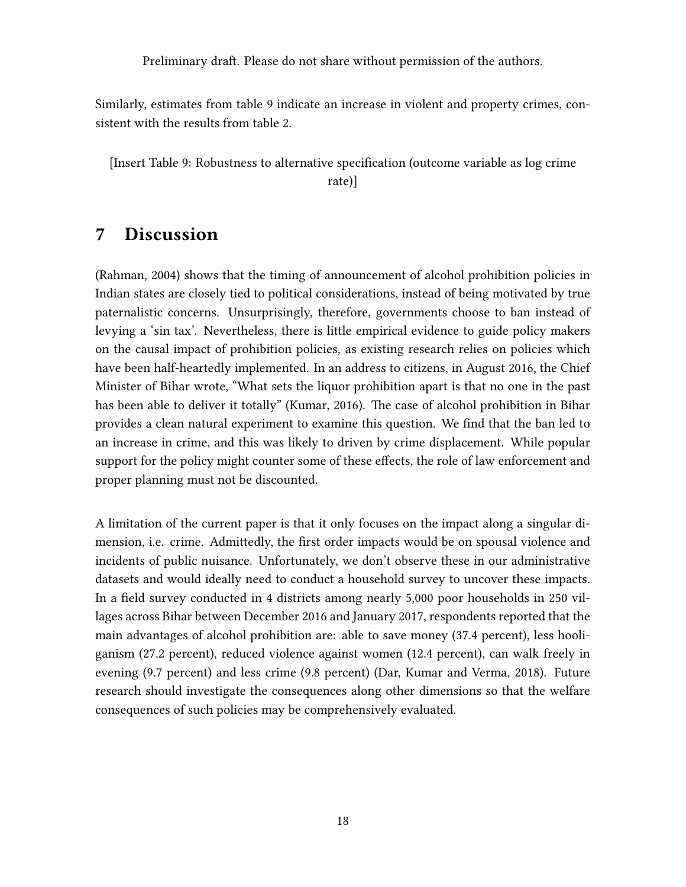Similarly, estimates from table [9](#page-33-1) indicate an increase in violent and property crimes, consistent with the results from table [2.](#page-28-1)

[Insert Table [9:](#page-33-1) Robustness to alternative specification (outcome variable as log crime rate)]

### <span id="page-17-0"></span>7 Discussion

[\(Rahman,](#page-21-13) [2004\)](#page-21-13) shows that the timing of announcement of alcohol prohibition policies in Indian states are closely tied to political considerations, instead of being motivated by true paternalistic concerns. Unsurprisingly, therefore, governments choose to ban instead of levying a 'sin tax'. Nevertheless, there is little empirical evidence to guide policy makers on the causal impact of prohibition policies, as existing research relies on policies which have been half-heartedly implemented. In an address to citizens, in August 2016, the Chief Minister of Bihar wrote, "What sets the liquor prohibition apart is that no one in the past has been able to deliver it totally" [\(Kumar,](#page-20-1) [2016\)](#page-20-1). The case of alcohol prohibition in Bihar provides a clean natural experiment to examine this question. We find that the ban led to an increase in crime, and this was likely to driven by crime displacement. While popular support for the policy might counter some of these effects, the role of law enforcement and proper planning must not be discounted.

A limitation of the current paper is that it only focuses on the impact along a singular dimension, i.e. crime. Admittedly, the first order impacts would be on spousal violence and incidents of public nuisance. Unfortunately, we don't observe these in our administrative datasets and would ideally need to conduct a household survey to uncover these impacts. In a field survey conducted in 4 districts among nearly 5,000 poor households in 250 villages across Bihar between December 2016 and January 2017, respondents reported that the main advantages of alcohol prohibition are: able to save money (37.4 percent), less hooliganism (27.2 percent), reduced violence against women (12.4 percent), can walk freely in evening (9.7 percent) and less crime (9.8 percent) (Dar, Kumar and Verma, 2018). Future research should investigate the consequences along other dimensions so that the welfare consequences of such policies may be comprehensively evaluated.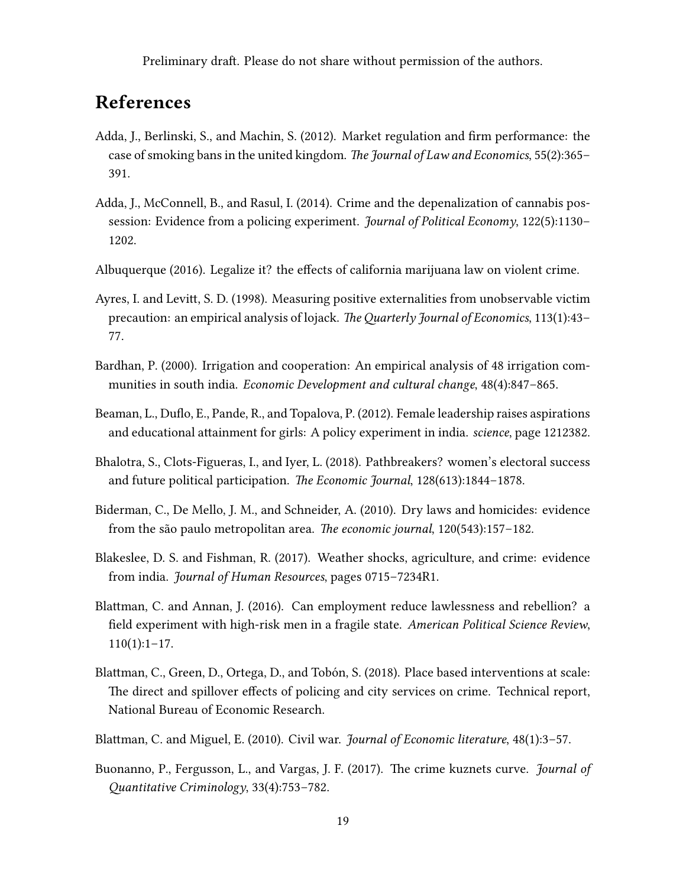# References

- <span id="page-18-5"></span>Adda, J., Berlinski, S., and Machin, S. (2012). Market regulation and firm performance: the case of smoking bans in the united kingdom. The Journal of Law and Economics, 55(2):365– 391.
- <span id="page-18-4"></span>Adda, J., McConnell, B., and Rasul, I. (2014). Crime and the depenalization of cannabis possession: Evidence from a policing experiment. Journal of Political Economy, 122(5):1130– 1202.
- <span id="page-18-3"></span>Albuquerque (2016). Legalize it? the effects of california marijuana law on violent crime.
- <span id="page-18-1"></span>Ayres, I. and Levitt, S. D. (1998). Measuring positive externalities from unobservable victim precaution: an empirical analysis of lojack. TheQuarterly Journal of Economics, 113(1):43– 77.
- <span id="page-18-0"></span>Bardhan, P. (2000). Irrigation and cooperation: An empirical analysis of 48 irrigation communities in south india. Economic Development and cultural change, 48(4):847–865.
- <span id="page-18-8"></span>Beaman, L., Duflo, E., Pande, R., and Topalova, P. (2012). Female leadership raises aspirations and educational attainment for girls: A policy experiment in india. science, page 1212382.
- <span id="page-18-7"></span>Bhalotra, S., Clots-Figueras, I., and Iyer, L. (2018). Pathbreakers? women's electoral success and future political participation. The Economic Journal, 128(613):1844–1878.
- <span id="page-18-6"></span>Biderman, C., De Mello, J. M., and Schneider, A. (2010). Dry laws and homicides: evidence from the são paulo metropolitan area. The economic journal, 120(543):157–182.
- <span id="page-18-9"></span>Blakeslee, D. S. and Fishman, R. (2017). Weather shocks, agriculture, and crime: evidence from india. Journal of Human Resources, pages 0715–7234R1.
- <span id="page-18-12"></span>Blattman, C. and Annan, J. (2016). Can employment reduce lawlessness and rebellion? a field experiment with high-risk men in a fragile state. American Political Science Review,  $110(1):1-17.$
- <span id="page-18-2"></span>Blattman, C., Green, D., Ortega, D., and Tobón, S. (2018). Place based interventions at scale: The direct and spillover effects of policing and city services on crime. Technical report, National Bureau of Economic Research.
- <span id="page-18-10"></span>Blattman, C. and Miguel, E. (2010). Civil war. Journal of Economic literature, 48(1):3–57.
- <span id="page-18-11"></span>Buonanno, P., Fergusson, L., and Vargas, J. F. (2017). The crime kuznets curve. *Journal of* Quantitative Criminology, 33(4):753–782.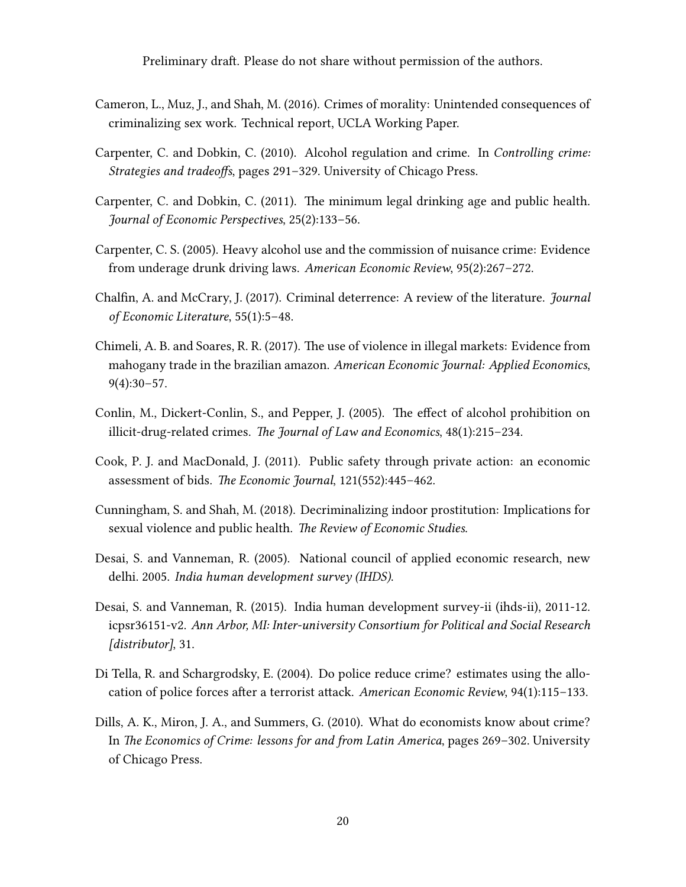- <span id="page-19-9"></span>Cameron, L., Muz, J., and Shah, M. (2016). Crimes of morality: Unintended consequences of criminalizing sex work. Technical report, UCLA Working Paper.
- <span id="page-19-3"></span>Carpenter, C. and Dobkin, C. (2010). Alcohol regulation and crime. In Controlling crime: Strategies and tradeoffs, pages 291–329. University of Chicago Press.
- <span id="page-19-0"></span>Carpenter, C. and Dobkin, C. (2011). The minimum legal drinking age and public health. Journal of Economic Perspectives, 25(2):133–56.
- <span id="page-19-1"></span>Carpenter, C. S. (2005). Heavy alcohol use and the commission of nuisance crime: Evidence from underage drunk driving laws. American Economic Review, 95(2):267–272.
- <span id="page-19-5"></span>Chalfin, A. and McCrary, J. (2017). Criminal deterrence: A review of the literature. Journal of Economic Literature, 55(1):5–48.
- <span id="page-19-8"></span>Chimeli, A. B. and Soares, R. R. (2017). The use of violence in illegal markets: Evidence from mahogany trade in the brazilian amazon. American Economic Journal: Applied Economics,  $9(4):30-57.$
- <span id="page-19-2"></span>Conlin, M., Dickert-Conlin, S., and Pepper, J. (2005). The effect of alcohol prohibition on illicit-drug-related crimes. The Journal of Law and Economics, 48(1):215–234.
- <span id="page-19-12"></span>Cook, P. J. and MacDonald, J. (2011). Public safety through private action: an economic assessment of bids. The Economic Journal, 121(552):445–462.
- <span id="page-19-7"></span>Cunningham, S. and Shah, M. (2018). Decriminalizing indoor prostitution: Implications for sexual violence and public health. The Review of Economic Studies.
- <span id="page-19-10"></span>Desai, S. and Vanneman, R. (2005). National council of applied economic research, new delhi. 2005. India human development survey (IHDS).
- <span id="page-19-11"></span>Desai, S. and Vanneman, R. (2015). India human development survey-ii (ihds-ii), 2011-12. icpsr36151-v2. Ann Arbor, MI: Inter-university Consortium for Political and Social Research [distributor], 31.
- <span id="page-19-4"></span>Di Tella, R. and Schargrodsky, E. (2004). Do police reduce crime? estimates using the allocation of police forces after a terrorist attack. American Economic Review, 94(1):115–133.
- <span id="page-19-6"></span>Dills, A. K., Miron, J. A., and Summers, G. (2010). What do economists know about crime? In The Economics of Crime: lessons for and from Latin America, pages 269–302. University of Chicago Press.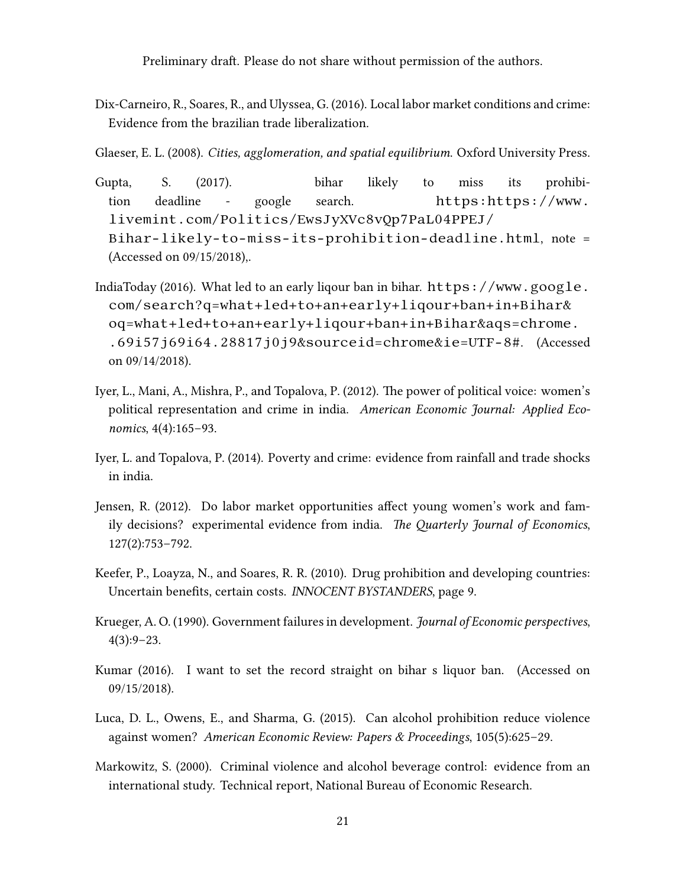<span id="page-20-11"></span>Dix-Carneiro, R., Soares, R., and Ulyssea, G. (2016). Local labor market conditions and crime: Evidence from the brazilian trade liberalization.

<span id="page-20-10"></span>Glaeser, E. L. (2008). Cities, agglomeration, and spatial equilibrium. Oxford University Press.

- <span id="page-20-8"></span>Gupta, S. (2017). bihar likely to miss its prohibition deadline - google search. [https:https://www.](https:https://www.livemint.com/Politics/EwsJyXVc8vQp7PaL04PPEJ/Bihar-likely-to-miss-its-prohibition-deadline.html) [livemint.com/Politics/EwsJyXVc8vQp7PaL04PPEJ/](https:https://www.livemint.com/Politics/EwsJyXVc8vQp7PaL04PPEJ/Bihar-likely-to-miss-its-prohibition-deadline.html) [Bihar-likely-to-miss-its-prohibition-deadline.html](https:https://www.livemint.com/Politics/EwsJyXVc8vQp7PaL04PPEJ/Bihar-likely-to-miss-its-prohibition-deadline.html), note = (Accessed on 09/15/2018),.
- <span id="page-20-7"></span>IndiaToday (2016). What led to an early liqour ban in bihar.  $https://www.google.c.$  $https://www.google.c.$ [com/search?q=what+led+to+an+early+liqour+ban+in+Bihar&](https://www.google.com/search?q=what+led+to+an+early+liqour+ban+in+Bihar&oq=what+led+to+an+early+liqour+ban+in+Bihar&aqs=chrome..69i57j69i64.28817j0j9&sourceid=chrome&ie=UTF-8#) [oq=what+led+to+an+early+liqour+ban+in+Bihar&aqs=chrome.](https://www.google.com/search?q=what+led+to+an+early+liqour+ban+in+Bihar&oq=what+led+to+an+early+liqour+ban+in+Bihar&aqs=chrome..69i57j69i64.28817j0j9&sourceid=chrome&ie=UTF-8#) [.69i57j69i64.28817j0j9&sourceid=chrome&ie=UTF-8#](https://www.google.com/search?q=what+led+to+an+early+liqour+ban+in+Bihar&oq=what+led+to+an+early+liqour+ban+in+Bihar&aqs=chrome..69i57j69i64.28817j0j9&sourceid=chrome&ie=UTF-8#). (Accessed on 09/14/2018).
- <span id="page-20-6"></span>Iyer, L., Mani, A., Mishra, P., and Topalova, P. (2012). The power of political voice: women's political representation and crime in india. American Economic Journal: Applied Economics, 4(4):165–93.
- <span id="page-20-9"></span>Iyer, L. and Topalova, P. (2014). Poverty and crime: evidence from rainfall and trade shocks in india.
- <span id="page-20-5"></span>Jensen, R. (2012). Do labor market opportunities affect young women's work and family decisions? experimental evidence from india. The Quarterly Journal of Economics, 127(2):753–792.
- <span id="page-20-4"></span>Keefer, P., Loayza, N., and Soares, R. R. (2010). Drug prohibition and developing countries: Uncertain benefits, certain costs. INNOCENT BYSTANDERS, page 9.
- <span id="page-20-0"></span>Krueger, A. O. (1990). Government failures in development. Journal of Economic perspectives, 4(3):9–23.
- <span id="page-20-1"></span>Kumar (2016). I want to set the record straight on bihar s liquor ban. (Accessed on 09/15/2018).
- <span id="page-20-2"></span>Luca, D. L., Owens, E., and Sharma, G. (2015). Can alcohol prohibition reduce violence against women? American Economic Review: Papers & Proceedings, 105(5):625–29.
- <span id="page-20-3"></span>Markowitz, S. (2000). Criminal violence and alcohol beverage control: evidence from an international study. Technical report, National Bureau of Economic Research.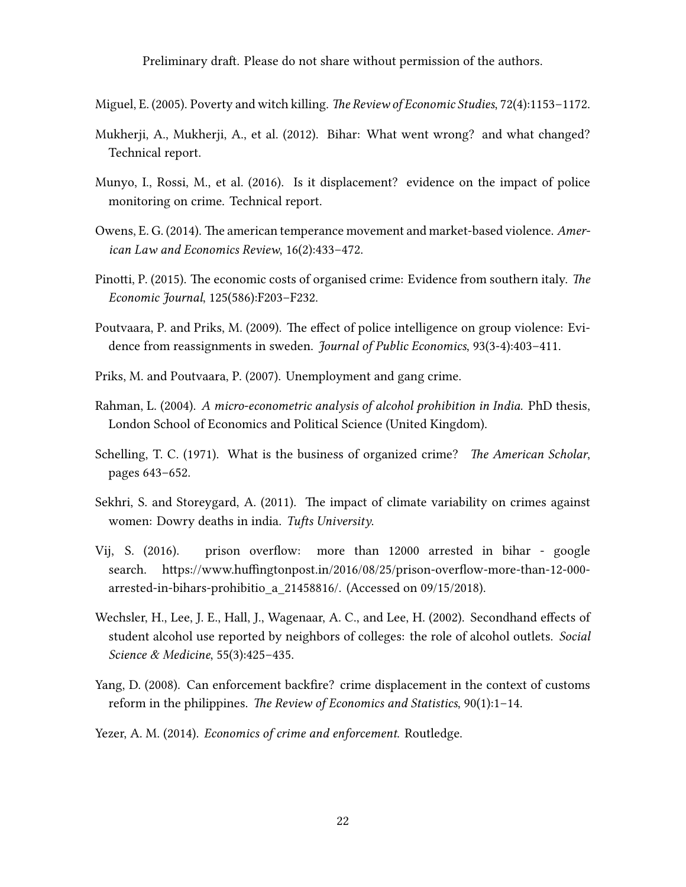<span id="page-21-8"></span>Miguel, E. (2005). Poverty and witch killing. The Review of Economic Studies, 72(4):1153–1172.

- <span id="page-21-5"></span>Mukherji, A., Mukherji, A., et al. (2012). Bihar: What went wrong? and what changed? Technical report.
- <span id="page-21-0"></span>Munyo, I., Rossi, M., et al. (2016). Is it displacement? evidence on the impact of police monitoring on crime. Technical report.
- <span id="page-21-4"></span>Owens, E. G. (2014). The american temperance movement and market-based violence. American Law and Economics Review, 16(2):433–472.
- <span id="page-21-11"></span>Pinotti, P. (2015). The economic costs of organised crime: Evidence from southern italy. The Economic Journal, 125(586):F203–F232.
- <span id="page-21-3"></span>Poutvaara, P. and Priks, M. (2009). The effect of police intelligence on group violence: Evidence from reassignments in sweden. Journal of Public Economics, 93(3-4):403-411.
- <span id="page-21-12"></span>Priks, M. and Poutvaara, P. (2007). Unemployment and gang crime.
- <span id="page-21-13"></span>Rahman, L. (2004). A micro-econometric analysis of alcohol prohibition in India. PhD thesis, London School of Economics and Political Science (United Kingdom).
- <span id="page-21-10"></span>Schelling, T. C. (1971). What is the business of organized crime? The American Scholar, pages 643–652.
- <span id="page-21-9"></span>Sekhri, S. and Storeygard, A. (2011). The impact of climate variability on crimes against women: Dowry deaths in india. Tufts University.
- <span id="page-21-6"></span>Vij, S. (2016). prison overflow: more than 12000 arrested in bihar - google search. https://www.huffingtonpost.in/2016/08/25/prison-overflow-more-than-12-000 arrested-in-bihars-prohibitio\_a\_21458816/. (Accessed on 09/15/2018).
- <span id="page-21-7"></span>Wechsler, H., Lee, J. E., Hall, J., Wagenaar, A. C., and Lee, H. (2002). Secondhand effects of student alcohol use reported by neighbors of colleges: the role of alcohol outlets. Social Science & Medicine, 55(3):425–435.
- <span id="page-21-2"></span>Yang, D. (2008). Can enforcement backfire? crime displacement in the context of customs reform in the philippines. The Review of Economics and Statistics, 90(1):1–14.
- <span id="page-21-1"></span>Yezer, A. M. (2014). Economics of crime and enforcement. Routledge.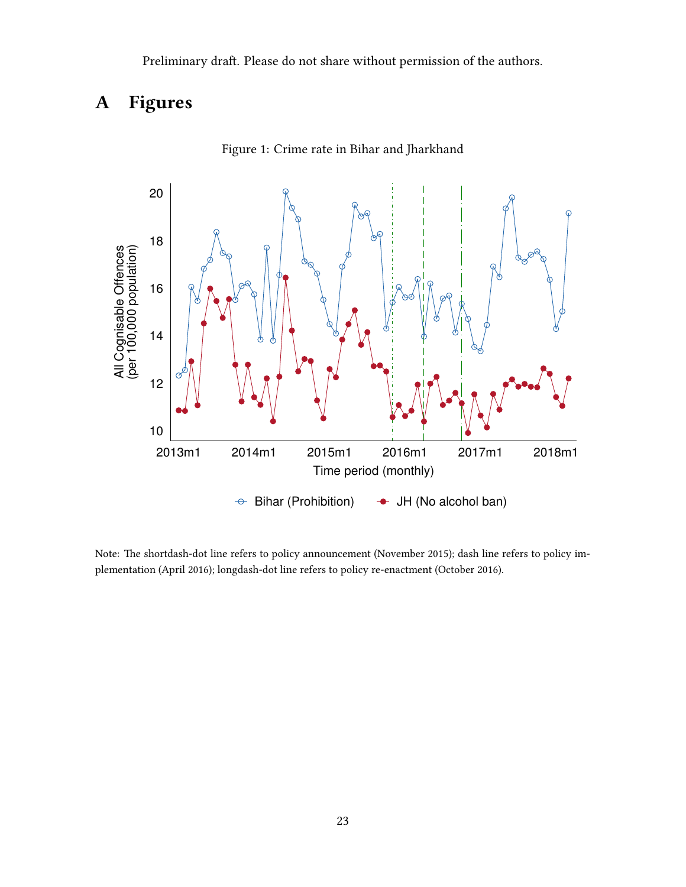# A Figures

<span id="page-22-0"></span>

Figure 1: Crime rate in Bihar and Jharkhand

Note: The shortdash-dot line refers to policy announcement (November 2015); dash line refers to policy implementation (April 2016); longdash-dot line refers to policy re-enactment (October 2016).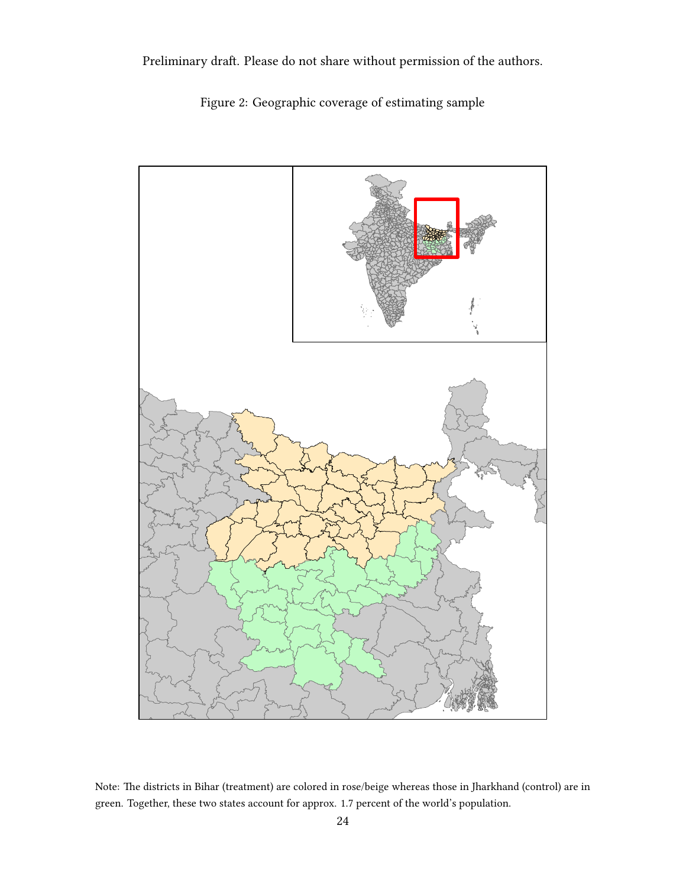Figure 2: Geographic coverage of estimating sample



Note: The districts in Bihar (treatment) are colored in rose/beige whereas those in Jharkhand (control) are in green. Together, these two states account for approx. 1.7 percent of the world's population.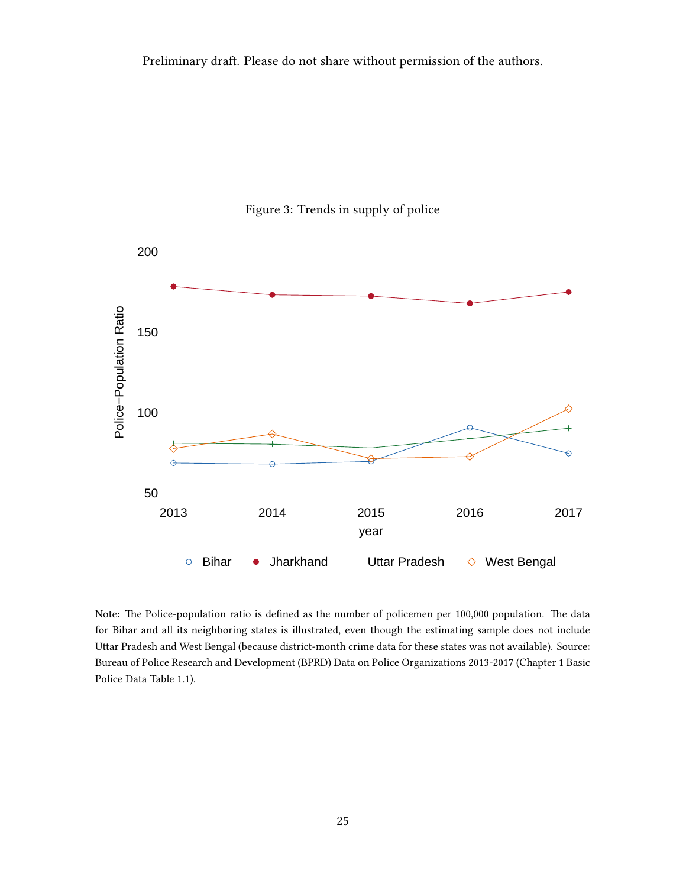

Figure 3: Trends in supply of police

Note: The Police-population ratio is defined as the number of policemen per 100,000 population. The data for Bihar and all its neighboring states is illustrated, even though the estimating sample does not include Uttar Pradesh and West Bengal (because district-month crime data for these states was not available). Source: Bureau of Police Research and Development (BPRD) Data on Police Organizations 2013-2017 (Chapter 1 Basic Police Data Table 1.1).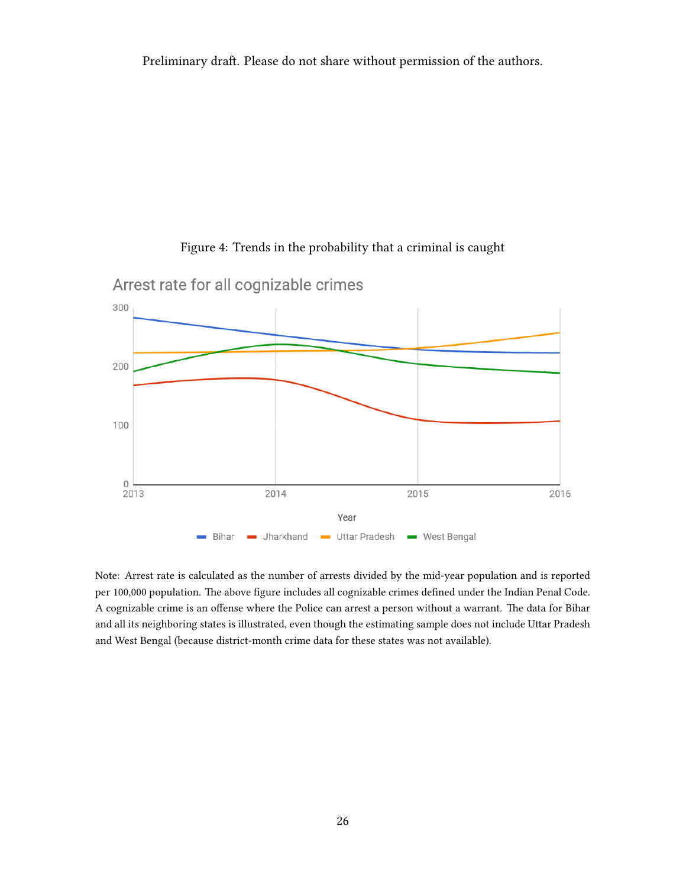

Figure 4: Trends in the probability that a criminal is caught

Note: Arrest rate is calculated as the number of arrests divided by the mid-year population and is reported per 100,000 population. The above figure includes all cognizable crimes defined under the Indian Penal Code. A cognizable crime is an offense where the Police can arrest a person without a warrant. The data for Bihar and all its neighboring states is illustrated, even though the estimating sample does not include Uttar Pradesh and West Bengal (because district-month crime data for these states was not available).

Arrest rate for all cognizable crimes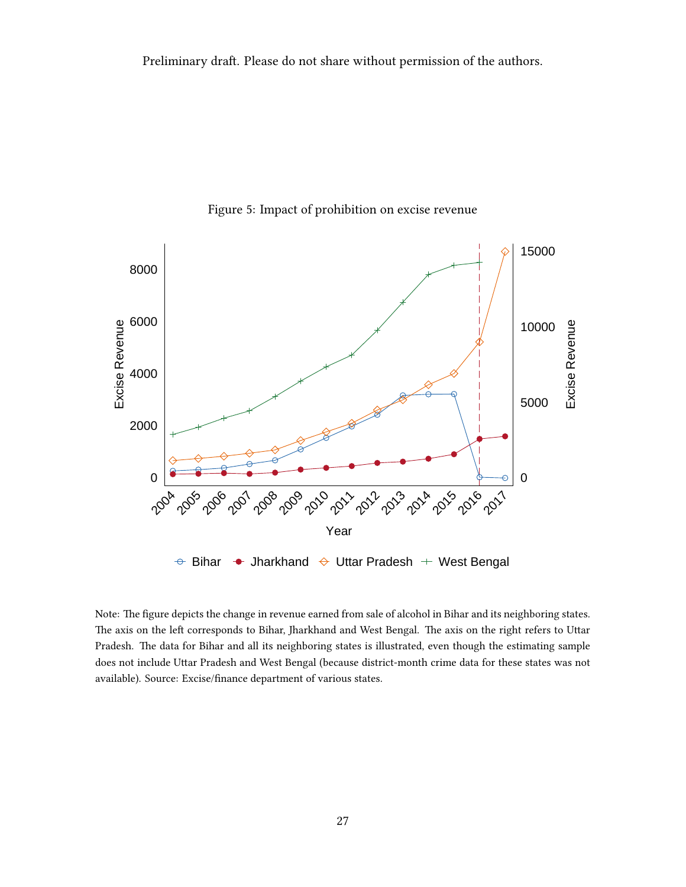

Figure 5: Impact of prohibition on excise revenue

Note: The figure depicts the change in revenue earned from sale of alcohol in Bihar and its neighboring states. The axis on the left corresponds to Bihar, Jharkhand and West Bengal. The axis on the right refers to Uttar Pradesh. The data for Bihar and all its neighboring states is illustrated, even though the estimating sample does not include Uttar Pradesh and West Bengal (because district-month crime data for these states was not available). Source: Excise/finance department of various states.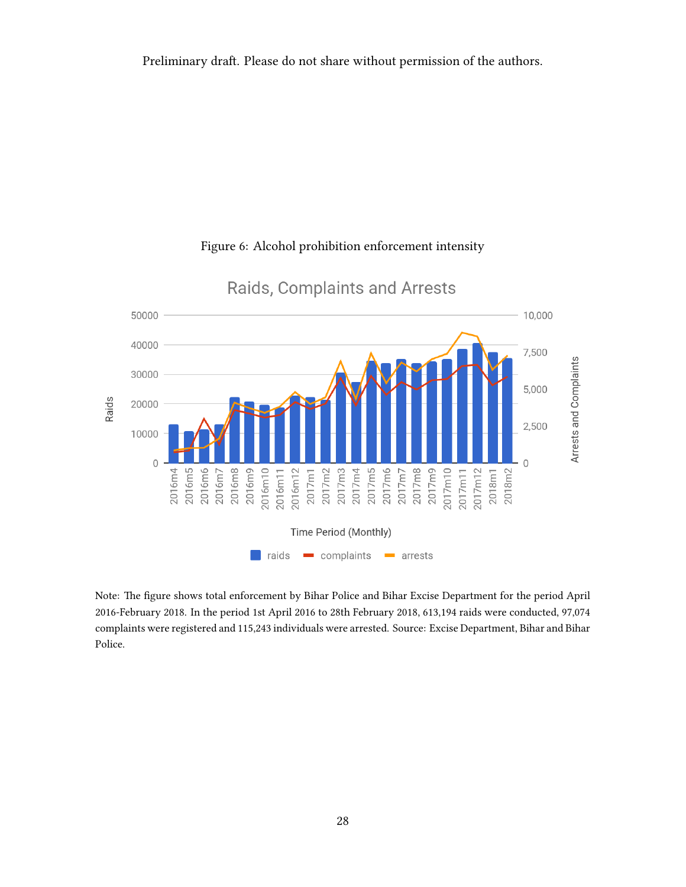Preliminary draft. Please do not share without permission of the authors.



#### Figure 6: Alcohol prohibition enforcement intensity

Note: The figure shows total enforcement by Bihar Police and Bihar Excise Department for the period April 2016-February 2018. In the period 1st April 2016 to 28th February 2018, 613,194 raids were conducted, 97,074 complaints were registered and 115,243 individuals were arrested. Source: Excise Department, Bihar and Bihar Police.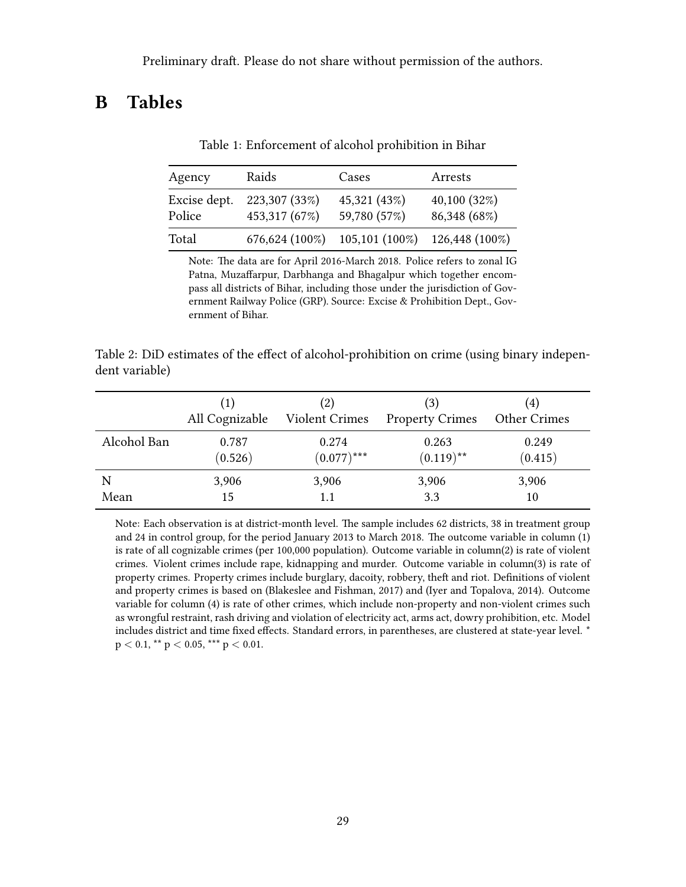### <span id="page-28-0"></span>B Tables

| Agency                 | Raids                          | Cases                        | Arrests                     |
|------------------------|--------------------------------|------------------------------|-----------------------------|
| Excise dept.<br>Police | 223,307 (33%)<br>453,317 (67%) | 45,321 (43%)<br>59,780 (57%) | 40,100(32%)<br>86,348 (68%) |
| Total                  | 676,624 (100%)                 | $105, 101 (100\%)$           | 126,448 (100%)              |

Table 1: Enforcement of alcohol prohibition in Bihar

Note: The data are for April 2016-March 2018. Police refers to zonal IG Patna, Muzaffarpur, Darbhanga and Bhagalpur which together encompass all districts of Bihar, including those under the jurisdiction of Government Railway Police (GRP). Source: Excise & Prohibition Dept., Government of Bihar.

<span id="page-28-1"></span>Table 2: DiD estimates of the effect of alcohol-prohibition on crime (using binary independent variable)

|             | (1)            | (2)                   | (3)                    | (4)                 |
|-------------|----------------|-----------------------|------------------------|---------------------|
|             | All Cognizable | <b>Violent Crimes</b> | <b>Property Crimes</b> | <b>Other Crimes</b> |
| Alcohol Ban | 0.787          | 0.274                 | 0.263                  | 0.249               |
|             | (0.526)        | $(0.077)$ ***         | $(0.119)$ **           | (0.415)             |
| N           | 3,906          | 3,906                 | 3,906                  | 3,906               |
| Mean        | 15             |                       | 3.3                    | 10                  |

Note: Each observation is at district-month level. The sample includes 62 districts, 38 in treatment group and 24 in control group, for the period January 2013 to March 2018. The outcome variable in column (1) is rate of all cognizable crimes (per 100,000 population). Outcome variable in column(2) is rate of violent crimes. Violent crimes include rape, kidnapping and murder. Outcome variable in column(3) is rate of property crimes. Property crimes include burglary, dacoity, robbery, theft and riot. Definitions of violent and property crimes is based on [\(Blakeslee and Fishman,](#page-18-9) [2017\)](#page-18-9) and [\(Iyer and Topalova,](#page-20-9) [2014\)](#page-20-9). Outcome variable for column (4) is rate of other crimes, which include non-property and non-violent crimes such as wrongful restraint, rash driving and violation of electricity act, arms act, dowry prohibition, etc. Model includes district and time fixed effects. Standard errors, in parentheses, are clustered at state-year level. \*  $p < 0.1$ , \*\*  $p < 0.05$ , \*\*\*  $p < 0.01$ .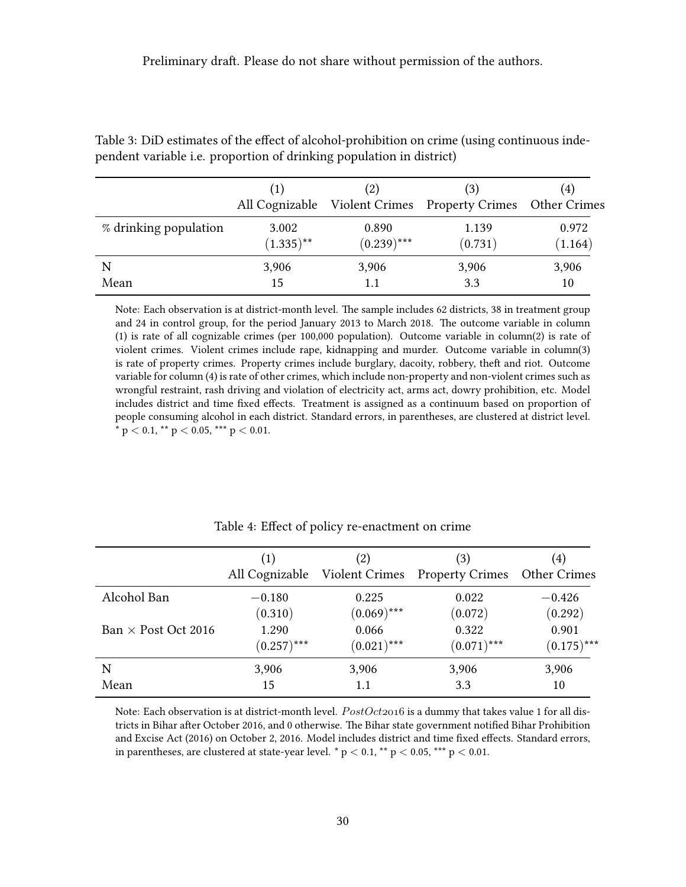|                       | (1)          | (2)           | (3)<br>All Cognizable Violent Crimes Property Crimes Other Crimes | 4)      |
|-----------------------|--------------|---------------|-------------------------------------------------------------------|---------|
| % drinking population | 3.002        | 0.890         | 1.139                                                             | 0.972   |
|                       | $(1.335)$ ** | $(0.239)$ *** | (0.731)                                                           | (1.164) |
| N                     | 3,906        | 3,906         | 3,906                                                             | 3,906   |
| Mean                  | 15           | 1.1           | 3.3                                                               | 10      |

<span id="page-29-0"></span>Table 3: DiD estimates of the effect of alcohol-prohibition on crime (using continuous independent variable i.e. proportion of drinking population in district)

Note: Each observation is at district-month level. The sample includes 62 districts, 38 in treatment group and 24 in control group, for the period January 2013 to March 2018. The outcome variable in column (1) is rate of all cognizable crimes (per 100,000 population). Outcome variable in column(2) is rate of violent crimes. Violent crimes include rape, kidnapping and murder. Outcome variable in column(3) is rate of property crimes. Property crimes include burglary, dacoity, robbery, theft and riot. Outcome variable for column (4) is rate of other crimes, which include non-property and non-violent crimes such as wrongful restraint, rash driving and violation of electricity act, arms act, dowry prohibition, etc. Model includes district and time fixed effects. Treatment is assigned as a continuum based on proportion of people consuming alcohol in each district. Standard errors, in parentheses, are clustered at district level.  $*$  p  $<$  0.1,  $**$  p  $<$  0.05,  $***$  p  $<$  0.01.

<span id="page-29-1"></span>

|                            |               | (2)           | (3)<br>All Cognizable Violent Crimes Property Crimes | (4)<br><b>Other Crimes</b> |
|----------------------------|---------------|---------------|------------------------------------------------------|----------------------------|
| Alcohol Ban                | $-0.180$      | 0.225         | 0.022                                                | $-0.426$                   |
|                            | (0.310)       | $(0.069)$ *** | (0.072)                                              | (0.292)                    |
| Ban $\times$ Post Oct 2016 | 1.290         | 0.066         | 0.322                                                | 0.901                      |
|                            | $(0.257)$ *** | $(0.021)$ *** | $(0.071)$ ***                                        | $(0.175)$ ***              |
| N                          | 3,906         | 3,906         | 3,906                                                | 3,906                      |
| Mean                       | 15            | 1.1           | 3.3                                                  | 10                         |

#### Table 4: Effect of policy re-enactment on crime

Note: Each observation is at district-month level.  $PostOct2016$  is a dummy that takes value 1 for all districts in Bihar after October 2016, and 0 otherwise. The Bihar state government notified Bihar Prohibition and Excise Act (2016) on October 2, 2016. Model includes district and time fixed effects. Standard errors, in parentheses, are clustered at state-year level. \*  $p < 0.1$ , \*\*  $p < 0.05$ , \*\*\*  $p < 0.01$ .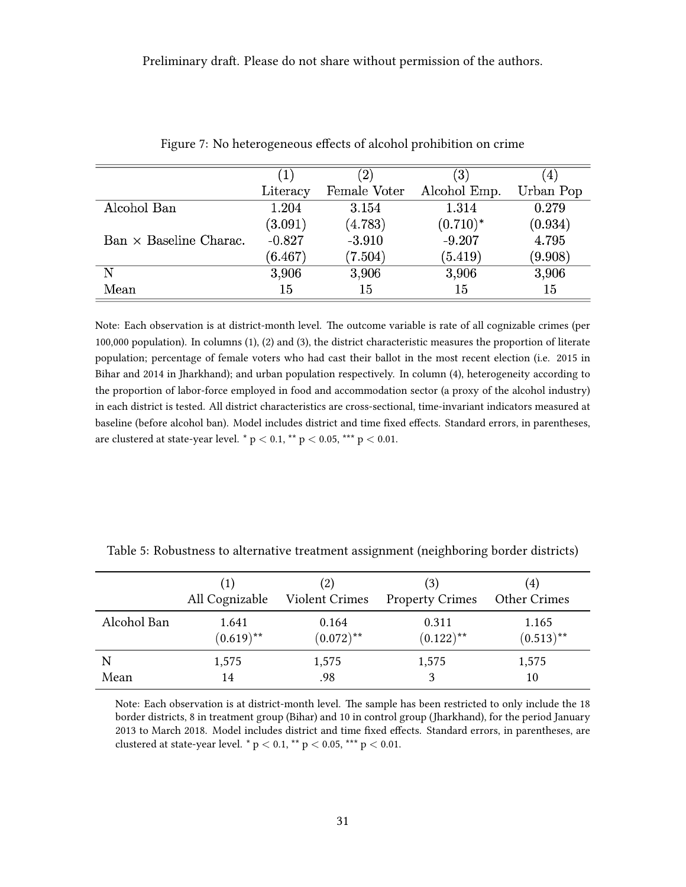<span id="page-30-0"></span>

|                               | $\left( 1\right)$ | $^{\prime}2)$ | $\left(3\right)$ | $\pm$     |
|-------------------------------|-------------------|---------------|------------------|-----------|
|                               | Literacy          | Female Voter  | Alcohol Emp.     | Urban Pop |
| Alcohol Ban                   | 1.204             | 3.154         | 1.314            | 0.279     |
|                               | (3.091)           | (4.783)       | $(0.710)^*$      | (0.934)   |
| $Ban \times Baseline Charac.$ | $-0.827$          | $-3.910$      | $-9.207$         | 4.795     |
|                               | (6.467)           | (7.504)       | (5.419)          | (9.908)   |
| N                             | 3,906             | 3,906         | 3,906            | 3,906     |
| Mean                          | 15                | 15            | 15               | 15        |

Figure 7: No heterogeneous effects of alcohol prohibition on crime

Note: Each observation is at district-month level. The outcome variable is rate of all cognizable crimes (per 100,000 population). In columns (1), (2) and (3), the district characteristic measures the proportion of literate population; percentage of female voters who had cast their ballot in the most recent election (i.e. 2015 in Bihar and 2014 in Jharkhand); and urban population respectively. In column (4), heterogeneity according to the proportion of labor-force employed in food and accommodation sector (a proxy of the alcohol industry) in each district is tested. All district characteristics are cross-sectional, time-invariant indicators measured at baseline (before alcohol ban). Model includes district and time fixed effects. Standard errors, in parentheses, are clustered at state-year level. \*  $p < 0.1$ , \*\*  $p < 0.05$ , \*\*\*  $p < 0.01$ .

|             | (1)            | (2)                   | (3)                    | (4)                 |
|-------------|----------------|-----------------------|------------------------|---------------------|
|             | All Cognizable | <b>Violent Crimes</b> | <b>Property Crimes</b> | <b>Other Crimes</b> |
| Alcohol Ban | 1.641          | 0.164                 | 0.311                  | 1.165               |
|             | $(0.619)$ **   | $(0.072)$ **          | $(0.122)$ **           | $(0.513)$ **        |
| N           | 1,575          | 1,575                 | 1,575                  | 1,575               |
| Mean        | 14             | .98                   |                        | 10                  |

<span id="page-30-1"></span>Table 5: Robustness to alternative treatment assignment (neighboring border districts)

Note: Each observation is at district-month level. The sample has been restricted to only include the 18 border districts, 8 in treatment group (Bihar) and 10 in control group (Jharkhand), for the period January 2013 to March 2018. Model includes district and time fixed effects. Standard errors, in parentheses, are clustered at state-year level. \*  $p < 0.1$ , \*\*  $p < 0.05$ , \*\*\*  $p < 0.01$ .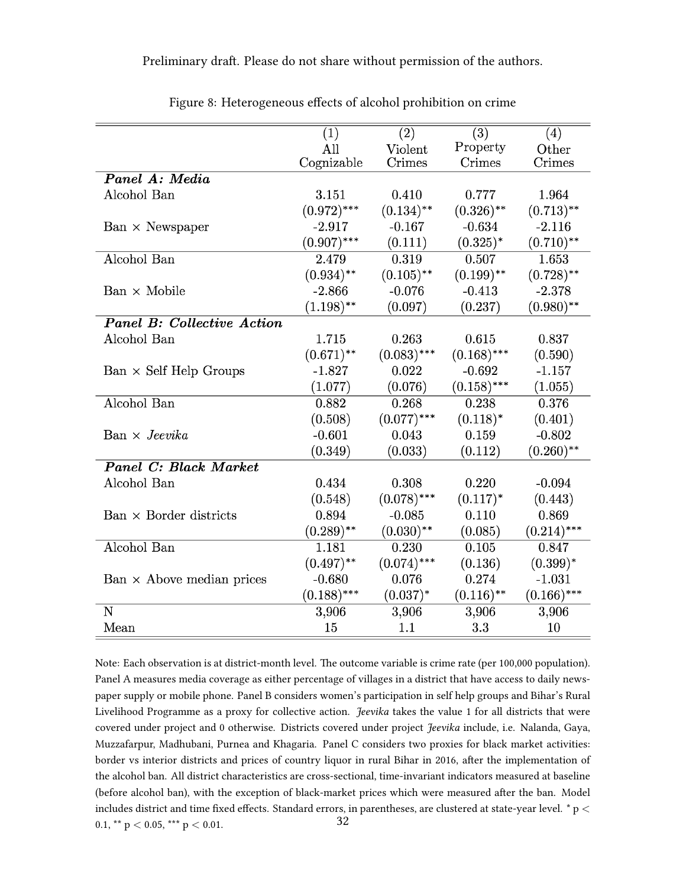<span id="page-31-0"></span>

|                                   | $\left( 1\right)$ | $\overline{(2)}$ | $\overline{(3)}$ | (4)           |
|-----------------------------------|-------------------|------------------|------------------|---------------|
|                                   | All               | Violent          | Property         | Other         |
|                                   | Cognizable        | Crimes           | Crimes           | Crimes        |
| Panel A: Media                    |                   |                  |                  |               |
| Alcohol Ban                       | 3.151             | 0.410            | 0.777            | 1.964         |
|                                   | $(0.972)$ ***     | $(0.134)$ **     | $(0.326)$ **     | $(0.713)$ **  |
| $Ban \times Newspaper$            | $-2.917$          | $-0.167$         | $-0.634$         | $-2.116$      |
|                                   | $(0.907)$ ***     | (0.111)          | $(0.325)^*$      | $(0.710)$ **  |
| Alcohol Ban                       | 2.479             | 0.319            | 0.507            | 1.653         |
|                                   | $(0.934)$ **      | $(0.105)$ **     | $(0.199)$ **     | $(0.728)$ **  |
| $Ban \times Mobile$               | $-2.866$          | $-0.076$         | $-0.413$         | $-2.378$      |
|                                   | $(1.198)$ **      | (0.097)          | (0.237)          | $(0.980)$ **  |
| <b>Panel B: Collective Action</b> |                   |                  |                  |               |
| Alcohol Ban                       | 1.715             | 0.263            | 0.615            | 0.837         |
|                                   | $(0.671)$ **      | $(0.083)$ ***    | $(0.168)$ ***    | (0.590)       |
| $Ban \times Self Help Groups$     | $-1.827$          | 0.022            | $-0.692$         | $-1.157$      |
|                                   | (1.077)           | (0.076)          | $(0.158)$ ***    | (1.055)       |
| Alcohol Ban                       | 0.882             | 0.268            | 0.238            | 0.376         |
|                                   | (0.508)           | $(0.077)$ ***    | $(0.118)^*$      | (0.401)       |
| $Ban \times Jeevika$              | $-0.601$          | 0.043            | 0.159            | $-0.802$      |
|                                   | (0.349)           | (0.033)          | (0.112)          | $(0.260)$ **  |
| <b>Panel C: Black Market</b>      |                   |                  |                  |               |
| Alcohol Ban                       | 0.434             | 0.308            | 0.220            | $-0.094$      |
|                                   | (0.548)           | $(0.078)$ ***    | $(0.117)^*$      | (0.443)       |
| $Ban \times Border$ districts     | 0.894             | $-0.085$         | 0.110            | 0.869         |
|                                   | $(0.289)$ **      | $(0.030)$ **     | (0.085)          | $(0.214)$ *** |
| Alcohol Ban                       | 1.181             | 0.230            | 0.105            | 0.847         |
|                                   | $(0.497)$ **      | $(0.074)$ ***    | (0.136)          | $(0.399)^*$   |
| $Ban \times$ Above median prices  | $-0.680$          | 0.076            | 0.274            | $-1.031$      |
|                                   | $(0.188)$ ***     | $(0.037)^*$      | $(0.116)$ **     | $(0.166)$ *** |
| $\mathbf N$                       | 3,906             | 3,906            | 3,906            | 3,906         |
| Mean                              | 15                | 1.1              | 3.3              | 10            |

Figure 8: Heterogeneous effects of alcohol prohibition on crime

Note: Each observation is at district-month level. The outcome variable is crime rate (per 100,000 population). Panel A measures media coverage as either percentage of villages in a district that have access to daily newspaper supply or mobile phone. Panel B considers women's participation in self help groups and Bihar's Rural Livelihood Programme as a proxy for collective action. *Jeevika* takes the value 1 for all districts that were covered under project and 0 otherwise. Districts covered under project Jeevika include, i.e. Nalanda, Gaya, Muzzafarpur, Madhubani, Purnea and Khagaria. Panel C considers two proxies for black market activities: border vs interior districts and prices of country liquor in rural Bihar in 2016, after the implementation of the alcohol ban. All district characteristics are cross-sectional, time-invariant indicators measured at baseline (before alcohol ban), with the exception of black-market prices which were measured after the ban. Model includes district and time fixed effects. Standard errors, in parentheses, are clustered at state-year level.  $*$  p  $<$ 0.1, \*\*  $p < 0.05$ , \*\*\*  $p < 0.01$ . 32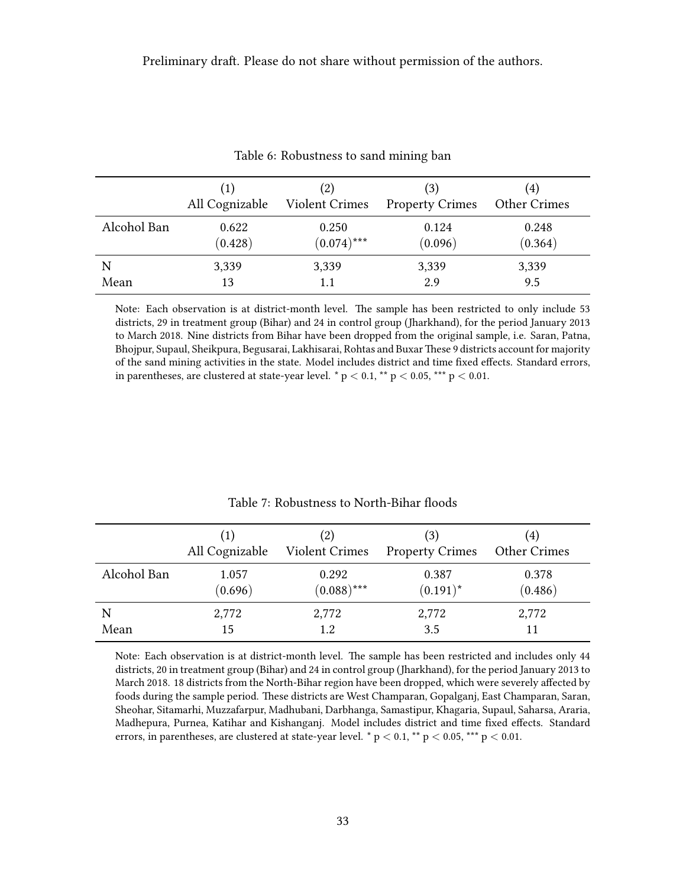<span id="page-32-0"></span>

|             | (1)            | (2)                   | (3)                    | $\left( 4\right)$ |
|-------------|----------------|-----------------------|------------------------|-------------------|
|             | All Cognizable | <b>Violent Crimes</b> | <b>Property Crimes</b> | Other Crimes      |
| Alcohol Ban | 0.622          | 0.250                 | 0.124                  | 0.248             |
|             | (0.428)        | $(0.074)$ ***         | (0.096)                | (0.364)           |
| N           | 3,339          | 3,339                 | 3,339                  | 3,339             |
| Mean        | 13             |                       | 2.9                    | 9.5               |

Table 6: Robustness to sand mining ban

Note: Each observation is at district-month level. The sample has been restricted to only include 53 districts, 29 in treatment group (Bihar) and 24 in control group (Jharkhand), for the period January 2013 to March 2018. Nine districts from Bihar have been dropped from the original sample, i.e. Saran, Patna, Bhojpur, Supaul, Sheikpura, Begusarai, Lakhisarai, Rohtas and BuxarThese 9 districts account for majority of the sand mining activities in the state. Model includes district and time fixed effects. Standard errors, in parentheses, are clustered at state-year level. \*  $p < 0.1$ , \*\*  $p < 0.05$ , \*\*\*  $p < 0.01$ .

<span id="page-32-1"></span>

|             | (1)<br>All Cognizable | (2)<br><b>Violent Crimes</b> | (3)<br><b>Property Crimes</b> | (4)<br>Other Crimes |
|-------------|-----------------------|------------------------------|-------------------------------|---------------------|
| Alcohol Ban | 1.057<br>(0.696)      | 0.292<br>$(0.088)$ ***       | 0.387<br>$(0.191)^*$          | 0.378<br>(0.486)    |
| N           | 2,772                 | 2,772                        | 2,772                         | 2,772               |
| Mean        | 15                    | 1.2                          | 3.5                           | 11                  |

Table 7: Robustness to North-Bihar floods

Note: Each observation is at district-month level. The sample has been restricted and includes only 44 districts, 20 in treatment group (Bihar) and 24 in control group (Jharkhand), for the period January 2013 to March 2018. 18 districts from the North-Bihar region have been dropped, which were severely affected by foods during the sample period. These districts are West Champaran, Gopalganj, East Champaran, Saran, Sheohar, Sitamarhi, Muzzafarpur, Madhubani, Darbhanga, Samastipur, Khagaria, Supaul, Saharsa, Araria, Madhepura, Purnea, Katihar and Kishanganj. Model includes district and time fixed effects. Standard errors, in parentheses, are clustered at state-year level. \*  $p < 0.1$ , \*\*  $p < 0.05$ , \*\*\*  $p < 0.01$ .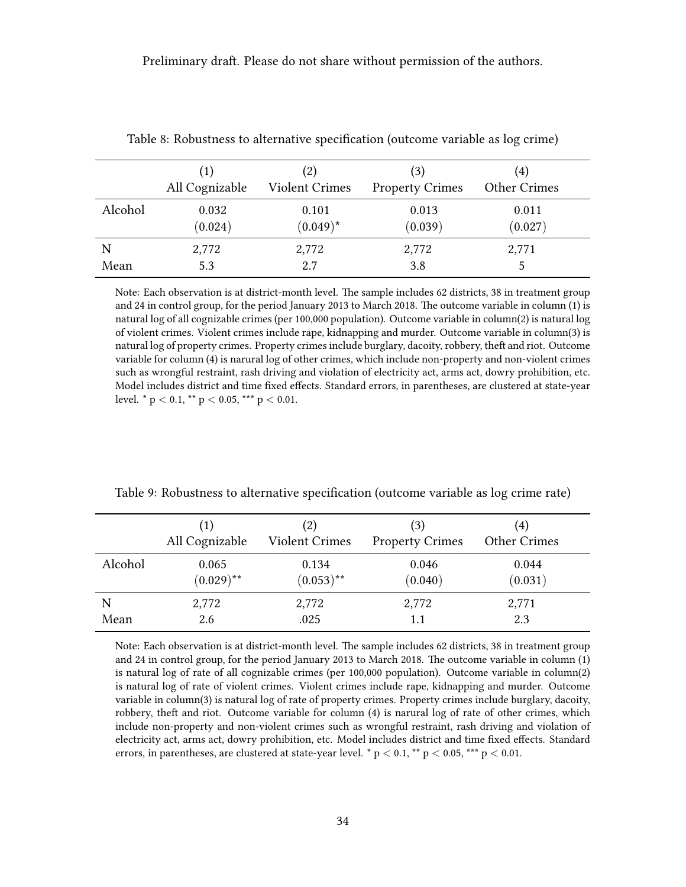|         | All Cognizable   | (2)<br><b>Violent Crimes</b> | (3)<br><b>Property Crimes</b> | (4)<br>Other Crimes |
|---------|------------------|------------------------------|-------------------------------|---------------------|
| Alcohol | 0.032<br>(0.024) | 0.101<br>$(0.049)^*$         | 0.013<br>(0.039)              | 0.011<br>(0.027)    |
| N       | 2,772            | 2,772                        | 2,772                         | 2,771               |
| Mean    | 5.3              | 2.7                          | 3.8                           |                     |

<span id="page-33-0"></span>Table 8: Robustness to alternative specification (outcome variable as log crime)

Note: Each observation is at district-month level. The sample includes 62 districts, 38 in treatment group and 24 in control group, for the period January 2013 to March 2018. The outcome variable in column (1) is natural log of all cognizable crimes (per 100,000 population). Outcome variable in column(2) is natural log of violent crimes. Violent crimes include rape, kidnapping and murder. Outcome variable in column(3) is natural log of property crimes. Property crimes include burglary, dacoity, robbery, theft and riot. Outcome variable for column (4) is narural log of other crimes, which include non-property and non-violent crimes such as wrongful restraint, rash driving and violation of electricity act, arms act, dowry prohibition, etc. Model includes district and time fixed effects. Standard errors, in parentheses, are clustered at state-year level. \*  $p < 0.1$ , \*\*  $p < 0.05$ , \*\*\*  $p < 0.01$ .

|           | (1)<br>All Cognizable | (2)<br><b>Violent Crimes</b> | (3)<br><b>Property Crimes</b> | $\left( 4\right)$<br>Other Crimes |  |
|-----------|-----------------------|------------------------------|-------------------------------|-----------------------------------|--|
| Alcohol   | 0.065<br>$(0.029)$ ** | 0.134<br>$(0.053)$ **        | 0.046<br>(0.040)              | 0.044<br>(0.031)                  |  |
| N<br>Mean | 2,772<br>2.6          | 2,772<br>.025                | 2,772<br>1.1                  | 2,771<br>2.3                      |  |

<span id="page-33-1"></span>Table 9: Robustness to alternative specification (outcome variable as log crime rate)

Note: Each observation is at district-month level. The sample includes 62 districts, 38 in treatment group and 24 in control group, for the period January 2013 to March 2018. The outcome variable in column (1) is natural log of rate of all cognizable crimes (per 100,000 population). Outcome variable in column(2) is natural log of rate of violent crimes. Violent crimes include rape, kidnapping and murder. Outcome variable in column(3) is natural log of rate of property crimes. Property crimes include burglary, dacoity, robbery, theft and riot. Outcome variable for column (4) is narural log of rate of other crimes, which include non-property and non-violent crimes such as wrongful restraint, rash driving and violation of electricity act, arms act, dowry prohibition, etc. Model includes district and time fixed effects. Standard errors, in parentheses, are clustered at state-year level. \*  $p < 0.1$ , \*\*  $p < 0.05$ , \*\*\*  $p < 0.01$ .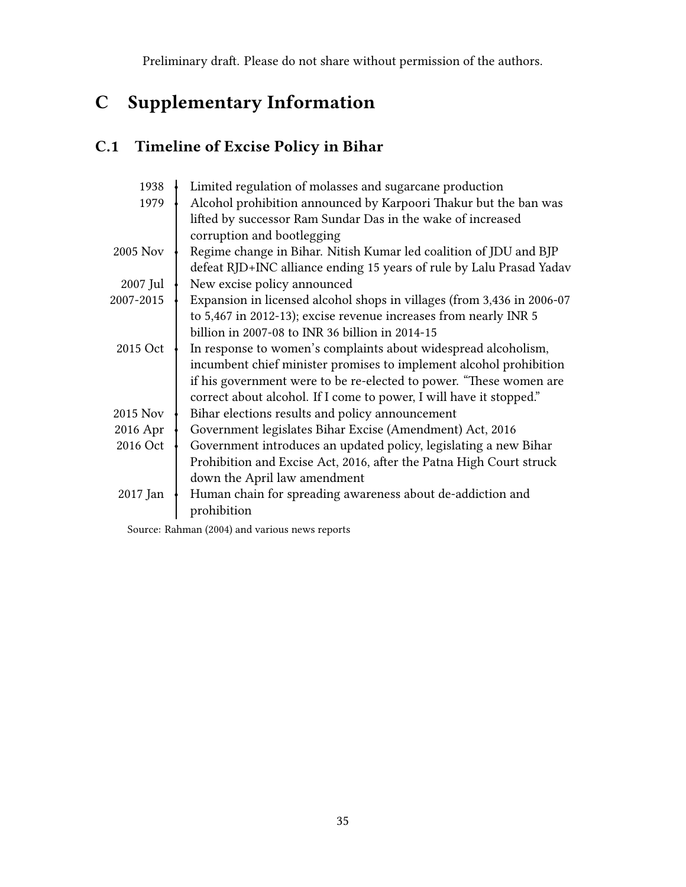# C Supplementary Information

# C.1 Timeline of Excise Policy in Bihar

| 1938      | Limited regulation of molasses and sugarcane production                |
|-----------|------------------------------------------------------------------------|
| 1979      | Alcohol prohibition announced by Karpoori Thakur but the ban was       |
|           | lifted by successor Ram Sundar Das in the wake of increased            |
|           | corruption and bootlegging                                             |
| 2005 Nov  | Regime change in Bihar. Nitish Kumar led coalition of JDU and BJP      |
|           | defeat RJD+INC alliance ending 15 years of rule by Lalu Prasad Yadav   |
| 2007 Jul  | New excise policy announced                                            |
| 2007-2015 | Expansion in licensed alcohol shops in villages (from 3,436 in 2006-07 |
|           | to 5,467 in 2012-13); excise revenue increases from nearly INR 5       |
|           | billion in 2007-08 to INR 36 billion in 2014-15                        |
| 2015 Oct  | In response to women's complaints about widespread alcoholism,         |
|           | incumbent chief minister promises to implement alcohol prohibition     |
|           | if his government were to be re-elected to power. "These women are     |
|           | correct about alcohol. If I come to power, I will have it stopped."    |
| 2015 Nov  | Bihar elections results and policy announcement                        |
| 2016 Apr  | Government legislates Bihar Excise (Amendment) Act, 2016               |
| 2016 Oct  | Government introduces an updated policy, legislating a new Bihar       |
|           | Prohibition and Excise Act, 2016, after the Patna High Court struck    |
|           | down the April law amendment                                           |
| 2017 Jan  | Human chain for spreading awareness about de-addiction and             |
|           | prohibition                                                            |
|           |                                                                        |

Source: [Rahman](#page-21-13) [\(2004\)](#page-21-13) and various news reports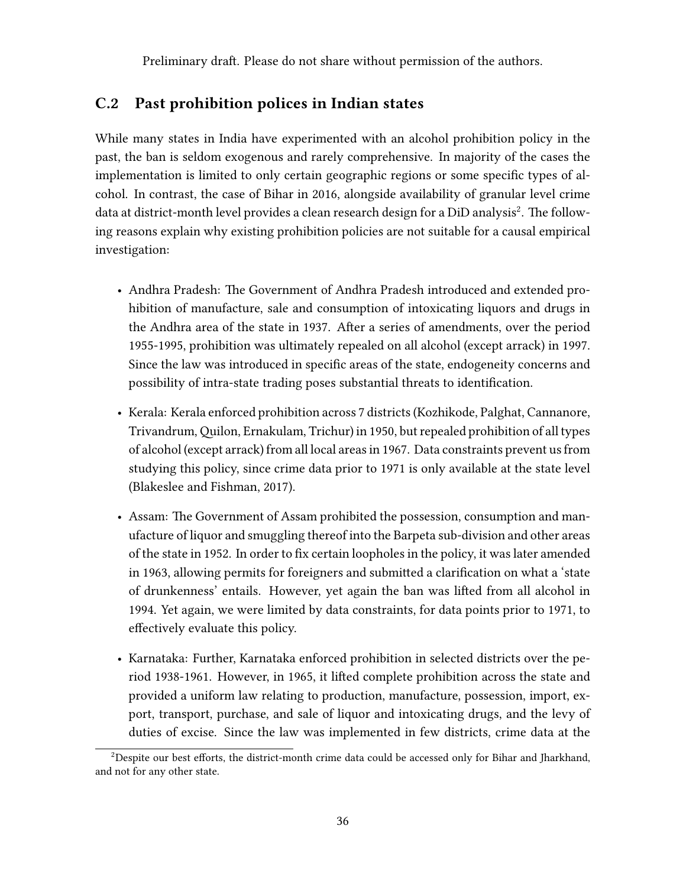### C.2 Past prohibition polices in Indian states

While many states in India have experimented with an alcohol prohibition policy in the past, the ban is seldom exogenous and rarely comprehensive. In majority of the cases the implementation is limited to only certain geographic regions or some specific types of alcohol. In contrast, the case of Bihar in 2016, alongside availability of granular level crime data at district-month level provides a clean research design for a DiD analysis<sup>[2](#page-36-0)</sup>. The following reasons explain why existing prohibition policies are not suitable for a causal empirical investigation:

- Andhra Pradesh: The Government of Andhra Pradesh introduced and extended prohibition of manufacture, sale and consumption of intoxicating liquors and drugs in the Andhra area of the state in 1937. After a series of amendments, over the period 1955-1995, prohibition was ultimately repealed on all alcohol (except arrack) in 1997. Since the law was introduced in specific areas of the state, endogeneity concerns and possibility of intra-state trading poses substantial threats to identification.
- Kerala: Kerala enforced prohibition across 7 districts (Kozhikode, Palghat, Cannanore, Trivandrum,Quilon, Ernakulam, Trichur) in 1950, but repealed prohibition of all types of alcohol (except arrack) from all local areas in 1967. Data constraints prevent us from studying this policy, since crime data prior to 1971 is only available at the state level [\(Blakeslee and Fishman,](#page-18-9) [2017\)](#page-18-9).
- Assam: The Government of Assam prohibited the possession, consumption and manufacture of liquor and smuggling thereof into the Barpeta sub-division and other areas of the state in 1952. In order to fix certain loopholes in the policy, it was later amended in 1963, allowing permits for foreigners and submitted a clarification on what a 'state of drunkenness' entails. However, yet again the ban was lifted from all alcohol in 1994. Yet again, we were limited by data constraints, for data points prior to 1971, to effectively evaluate this policy.
- Karnataka: Further, Karnataka enforced prohibition in selected districts over the period 1938-1961. However, in 1965, it lifted complete prohibition across the state and provided a uniform law relating to production, manufacture, possession, import, export, transport, purchase, and sale of liquor and intoxicating drugs, and the levy of duties of excise. Since the law was implemented in few districts, crime data at the

<sup>&</sup>lt;sup>2</sup>Despite our best efforts, the district-month crime data could be accessed only for Bihar and Jharkhand, and not for any other state.